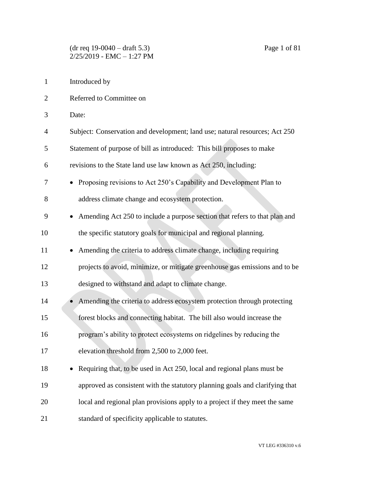- Introduced by
- Referred to Committee on
- Date:
- Subject: Conservation and development; land use; natural resources; Act 250
- Statement of purpose of bill as introduced: This bill proposes to make
- revisions to the State land use law known as Act 250, including:
- Proposing revisions to Act 250's Capability and Development Plan to address climate change and ecosystem protection.
- Amending Act 250 to include a purpose section that refers to that plan and the specific statutory goals for municipal and regional planning.
- 11 Amending the criteria to address climate change, including requiring projects to avoid, minimize, or mitigate greenhouse gas emissions and to be
- designed to withstand and adapt to climate change.
- 14 Amending the criteria to address ecosystem protection through protecting forest blocks and connecting habitat. The bill also would increase the program's ability to protect ecosystems on ridgelines by reducing the elevation threshold from 2,500 to 2,000 feet.
- 18 Requiring that, to be used in Act 250, local and regional plans must be approved as consistent with the statutory planning goals and clarifying that local and regional plan provisions apply to a project if they meet the same standard of specificity applicable to statutes.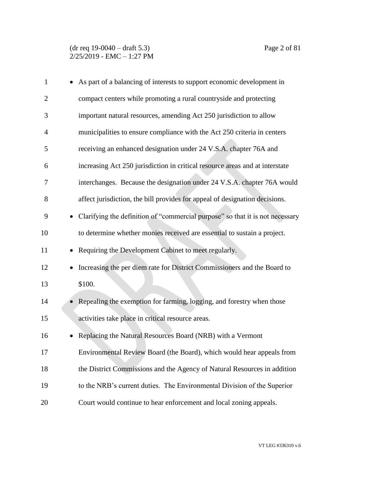| $\mathbf{1}$   | As part of a balancing of interests to support economic development in             |
|----------------|------------------------------------------------------------------------------------|
| $\overline{2}$ | compact centers while promoting a rural countryside and protecting                 |
| 3              | important natural resources, amending Act 250 jurisdiction to allow                |
| $\overline{4}$ | municipalities to ensure compliance with the Act 250 criteria in centers           |
| 5              | receiving an enhanced designation under 24 V.S.A. chapter 76A and                  |
| 6              | increasing Act 250 jurisdiction in critical resource areas and at interstate       |
| 7              | interchanges. Because the designation under 24 V.S.A. chapter 76A would            |
| 8              | affect jurisdiction, the bill provides for appeal of designation decisions.        |
| 9              | Clarifying the definition of "commercial purpose" so that it is not necessary      |
| 10             | to determine whether monies received are essential to sustain a project.           |
| 11             | Requiring the Development Cabinet to meet regularly.                               |
| 12             | Increasing the per diem rate for District Commissioners and the Board to           |
| 13             | \$100.                                                                             |
| 14             | Repealing the exemption for farming, logging, and forestry when those<br>$\bullet$ |
| 15             | activities take place in critical resource areas.                                  |
| 16             | Replacing the Natural Resources Board (NRB) with a Vermont                         |
| 17             | Environmental Review Board (the Board), which would hear appeals from              |
| 18             | the District Commissions and the Agency of Natural Resources in addition           |
| 19             | to the NRB's current duties. The Environmental Division of the Superior            |
| 20             | Court would continue to hear enforcement and local zoning appeals.                 |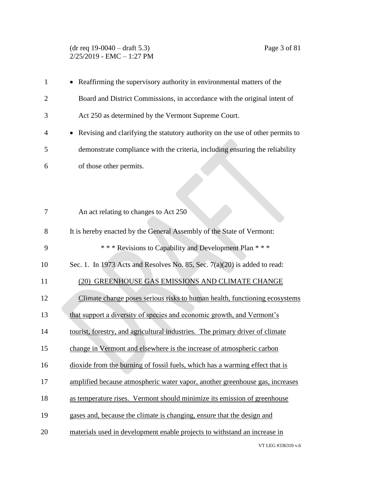#### (dr req 19-0040 – draft 5.3) Page 3 of 81  $2/25/2019$  - EMC - 1:27 PM

| $\mathbf{1}$   | • Reaffirming the supervisory authority in environmental matters of the                     |
|----------------|---------------------------------------------------------------------------------------------|
| $\overline{2}$ | Board and District Commissions, in accordance with the original intent of                   |
| 3              | Act 250 as determined by the Vermont Supreme Court.                                         |
| 4              | Revising and clarifying the statutory authority on the use of other permits to<br>$\bullet$ |
| 5              | demonstrate compliance with the criteria, including ensuring the reliability                |
| 6              | of those other permits.                                                                     |
|                |                                                                                             |
|                |                                                                                             |
| 7              | An act relating to changes to Act 250                                                       |
| 8              | It is hereby enacted by the General Assembly of the State of Vermont:                       |
| 9              | *** Revisions to Capability and Development Plan ***                                        |
| 10             | Sec. 1. In 1973 Acts and Resolves No. 85, Sec. 7(a)(20) is added to read:                   |
| 11             | (20) GREENHOUSE GAS EMISSIONS AND CLIMATE CHANGE                                            |
| 12             | Climate change poses serious risks to human health, functioning ecosystems                  |
| 13             | that support a diversity of species and economic growth, and Vermont's                      |
| 14             | tourist, forestry, and agricultural industries. The primary driver of climate               |
| 15             | change in Vermont and elsewhere is the increase of atmospheric carbon                       |
| 16             | dioxide from the burning of fossil fuels, which has a warming effect that is                |
| 17             | amplified because atmospheric water vapor, another greenhouse gas, increases                |
| 18             | as temperature rises. Vermont should minimize its emission of greenhouse                    |
| 19             | gases and, because the climate is changing, ensure that the design and                      |
| 20             | materials used in development enable projects to withstand an increase in                   |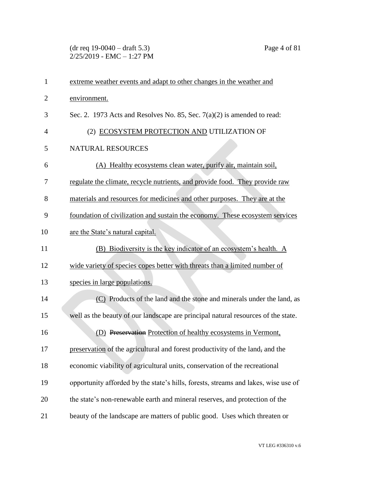(dr req 19-0040 – draft 5.3) Page 4 of 81  $2/25/2019$  - EMC - 1:27 PM

| $\mathbf{1}$   | extreme weather events and adapt to other changes in the weather and               |
|----------------|------------------------------------------------------------------------------------|
| $\overline{2}$ | environment.                                                                       |
| 3              | Sec. 2. 1973 Acts and Resolves No. 85, Sec. $7(a)(2)$ is amended to read:          |
| 4              | (2) ECOSYSTEM PROTECTION AND UTILIZATION OF                                        |
| 5              | NATURAL RESOURCES                                                                  |
| 6              | (A) Healthy ecosystems clean water, purify air, maintain soil,                     |
| 7              | regulate the climate, recycle nutrients, and provide food. They provide raw        |
| 8              | materials and resources for medicines and other purposes. They are at the          |
| 9              | foundation of civilization and sustain the economy. These ecosystem services       |
| 10             | are the State's natural capital.                                                   |
| 11             | (B) Biodiversity is the key indicator of an ecosystem's health. A                  |
| 12             | wide variety of species copes better with threats than a limited number of         |
| 13             | species in large populations.                                                      |
| 14             | (C) Products of the land and the stone and minerals under the land, as             |
| 15             | well as the beauty of our landscape are principal natural resources of the state.  |
| 16             | (D) Preservation Protection of healthy ecosystems in Vermont,                      |
| 17             | preservation of the agricultural and forest productivity of the land, and the      |
| 18             | economic viability of agricultural units, conservation of the recreational         |
| 19             | opportunity afforded by the state's hills, forests, streams and lakes, wise use of |
| 20             | the state's non-renewable earth and mineral reserves, and protection of the        |
| 21             | beauty of the landscape are matters of public good. Uses which threaten or         |

VT LEG #336310 v.6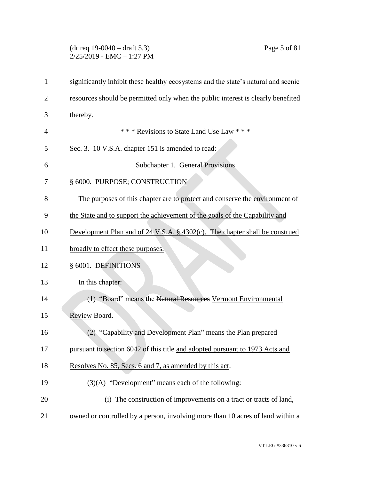# (dr req 19-0040 – draft 5.3) Page 5 of 81  $2/25/2019$  - EMC - 1:27 PM

| 1              | significantly inhibit these healthy ecosystems and the state's natural and scenic         |
|----------------|-------------------------------------------------------------------------------------------|
| $\overline{2}$ | resources should be permitted only when the public interest is clearly benefited          |
| 3              | thereby.                                                                                  |
| 4              | *** Revisions to State Land Use Law ***                                                   |
| 5              | Sec. 3. 10 V.S.A. chapter 151 is amended to read:                                         |
| 6              | Subchapter 1. General Provisions                                                          |
| 7              | § 6000. PURPOSE; CONSTRUCTION                                                             |
| 8              | The purposes of this chapter are to protect and conserve the environment of               |
| 9              | the State and to support the achievement of the goals of the Capability and               |
| 10             | Development Plan and of $24 \text{ V.S.A. }$ § $4302(c)$ . The chapter shall be construed |
| 11             | broadly to effect these purposes.                                                         |
| 12             | § 6001. DEFINITIONS                                                                       |
| 13             | In this chapter:                                                                          |
| 14             | (1) "Board" means the Natural Resources Vermont Environmental                             |
| 15             | Review Board.                                                                             |
| 16             | (2) "Capability and Development Plan" means the Plan prepared                             |
| 17             | pursuant to section 6042 of this title and adopted pursuant to 1973 Acts and              |
| 18             | Resolves No. 85, Secs. 6 and 7, as amended by this act.                                   |
| 19             | $(3)(A)$ "Development" means each of the following:                                       |
| 20             | (i) The construction of improvements on a tract or tracts of land,                        |
| 21             | owned or controlled by a person, involving more than 10 acres of land within a            |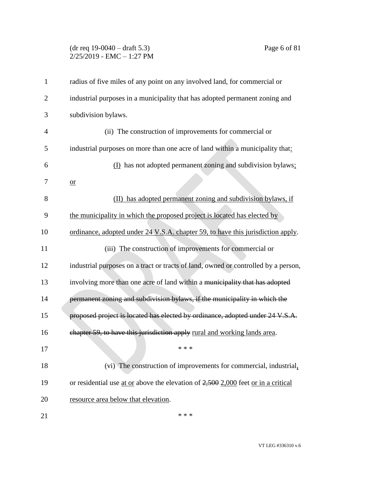# (dr req 19-0040 – draft 5.3) Page 6 of 81 2/25/2019 - EMC – 1:27 PM

| $\mathbf{1}$   | radius of five miles of any point on any involved land, for commercial or           |
|----------------|-------------------------------------------------------------------------------------|
| $\overline{2}$ | industrial purposes in a municipality that has adopted permanent zoning and         |
| 3              | subdivision bylaws.                                                                 |
| $\overline{4}$ | (ii) The construction of improvements for commercial or                             |
| 5              | industrial purposes on more than one acre of land within a municipality that:       |
| 6              | (I) has not adopted permanent zoning and subdivision bylaws;                        |
| 7              | $or$                                                                                |
| 8              | (II) has adopted permanent zoning and subdivision bylaws, if                        |
| 9              | the municipality in which the proposed project is located has elected by            |
| 10             | ordinance, adopted under 24 V.S.A. chapter 59, to have this jurisdiction apply.     |
| 11             | (iii) The construction of improvements for commercial or                            |
| 12             | industrial purposes on a tract or tracts of land, owned or controlled by a person,  |
| 13             | involving more than one acre of land within a municipality that has adopted         |
| 14             | permanent zoning and subdivision bylaws, if the municipality in which the           |
| 15             | proposed project is located has elected by ordinance, adopted under 24 V.S.A.       |
| 16             | chapter 59, to have this jurisdiction apply rural and working lands area.           |
| 17             | * * *                                                                               |
| 18             | (vi) The construction of improvements for commercial, industrial,                   |
| 19             | or residential use at or above the elevation of $2,500$ 2,000 feet or in a critical |
| 20             | resource area below that elevation.                                                 |
| 21             | * * *                                                                               |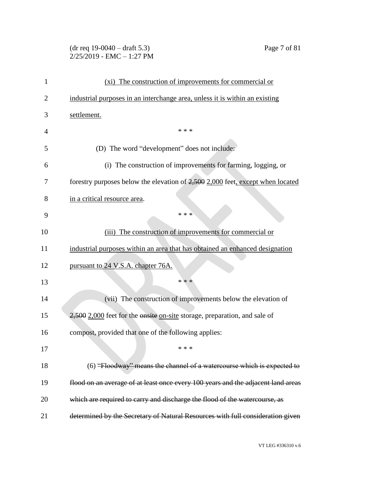# (dr req 19-0040 – draft 5.3) Page 7 of 81  $2/25/2019$  - EMC - 1:27 PM

| 1              | (xi) The construction of improvements for commercial or                          |
|----------------|----------------------------------------------------------------------------------|
| $\overline{2}$ | industrial purposes in an interchange area, unless it is within an existing      |
| 3              | settlement.                                                                      |
| 4              | * * *                                                                            |
| 5              | (D) The word "development" does not include:                                     |
| 6              | (i) The construction of improvements for farming, logging, or                    |
| 7              | forestry purposes below the elevation of 2,500 2,000 feet, except when located   |
| 8              | in a critical resource area.                                                     |
| 9              | * * *                                                                            |
| 10             | (iii) The construction of improvements for commercial or                         |
| 11             | industrial purposes within an area that has obtained an enhanced designation     |
| 12             | pursuant to 24 V.S.A. chapter 76A.                                               |
| 13             | * * *                                                                            |
| 14             | (vii) The construction of improvements below the elevation of                    |
| 15             | 2,500 2,000 feet for the onsite on-site storage, preparation, and sale of        |
| 16             | compost, provided that one of the following applies:                             |
| 17             | * * *                                                                            |
| 18             | (6) "Floodway" means the channel of a watercourse which is expected to           |
| 19             | flood on an average of at least once every 100 years and the adjacent land areas |
| 20             | which are required to carry and discharge the flood of the watercourse, as       |
| 21             | determined by the Secretary of Natural Resources with full consideration given   |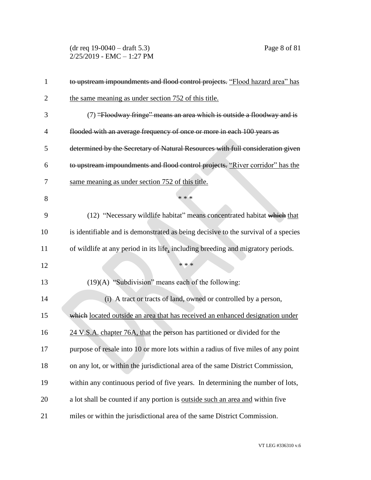(dr req 19-0040 – draft 5.3) Page 8 of 81 2/25/2019 - EMC – 1:27 PM

| $\mathbf{1}$   | to upstream impoundments and flood control projects. "Flood hazard area" has       |
|----------------|------------------------------------------------------------------------------------|
| $\overline{2}$ | the same meaning as under section 752 of this title.                               |
| 3              | (7) "Floodway fringe" means an area which is outside a floodway and is             |
| $\overline{4}$ | flooded with an average frequency of once or more in each 100 years as             |
| 5              | determined by the Secretary of Natural Resources with full consideration given     |
| 6              | to upstream impoundments and flood control projects. "River corridor" has the      |
| 7              | same meaning as under section 752 of this title.                                   |
| 8              | * * *                                                                              |
| 9              | (12) "Necessary wildlife habitat" means concentrated habitat which that            |
| 10             | is identifiable and is demonstrated as being decisive to the survival of a species |
| 11             | of wildlife at any period in its life, including breeding and migratory periods.   |
| 12             | * * *                                                                              |
| 13             | $(19)(A)$ "Subdivision" means each of the following:                               |
| 14             | (i) A tract or tracts of land, owned or controlled by a person,                    |
| 15             | which located outside an area that has received an enhanced designation under      |
| 16             | 24 V.S.A. chapter 76A, that the person has partitioned or divided for the          |
| 17             | purpose of resale into 10 or more lots within a radius of five miles of any point  |
| 18             | on any lot, or within the jurisdictional area of the same District Commission,     |
| 19             | within any continuous period of five years. In determining the number of lots,     |
| 20             | a lot shall be counted if any portion is outside such an area and within five      |
| 21             | miles or within the jurisdictional area of the same District Commission.           |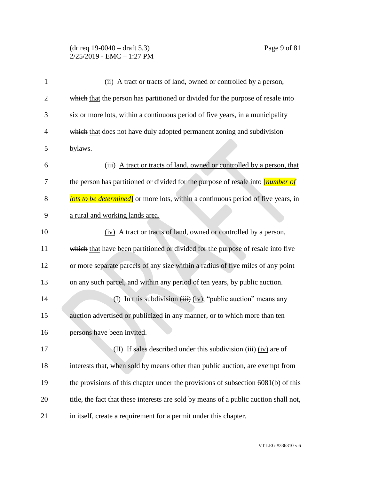### (dr req 19-0040 – draft 5.3) Page 9 of 81 2/25/2019 - EMC – 1:27 PM

| $\mathbf{1}$   | (ii) A tract or tracts of land, owned or controlled by a person,                         |
|----------------|------------------------------------------------------------------------------------------|
| $\overline{2}$ | which that the person has partitioned or divided for the purpose of resale into          |
| 3              | six or more lots, within a continuous period of five years, in a municipality            |
| 4              | which that does not have duly adopted permanent zoning and subdivision                   |
| 5              | bylaws.                                                                                  |
| 6              | (iii) A tract or tracts of land, owned or controlled by a person, that                   |
| 7              | the person has partitioned or divided for the purpose of resale into <i>[number of</i> ] |
| 8              | <b>lots to be determined</b> or more lots, within a continuous period of five years, in  |
| 9              | a rural and working lands area.                                                          |
| 10             | (iv) A tract or tracts of land, owned or controlled by a person,                         |
| 11             | which that have been partitioned or divided for the purpose of resale into five          |
| 12             | or more separate parcels of any size within a radius of five miles of any point          |
| 13             | on any such parcel, and within any period of ten years, by public auction.               |
| 14             | (I) In this subdivision $(iii)$ (iv), "public auction" means any                         |
| 15             | auction advertised or publicized in any manner, or to which more than ten                |
| 16             | persons have been invited.                                                               |
| 17             | (II) If sales described under this subdivision $(iii)$ (iv) are of                       |
| 18             | interests that, when sold by means other than public auction, are exempt from            |
| 19             | the provisions of this chapter under the provisions of subsection 6081(b) of this        |
| 20             | title, the fact that these interests are sold by means of a public auction shall not,    |
| 21             | in itself, create a requirement for a permit under this chapter.                         |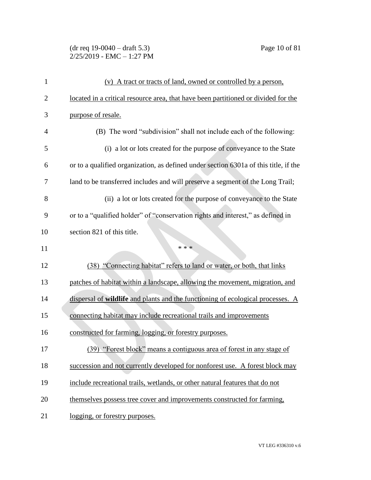# (dr req 19-0040 – draft 5.3) Page 10 of 81  $2/25/2019$  - EMC - 1:27 PM

| 1              | (v) A tract or tracts of land, owned or controlled by a person,                      |
|----------------|--------------------------------------------------------------------------------------|
| $\overline{2}$ | located in a critical resource area, that have been partitioned or divided for the   |
| 3              | purpose of resale.                                                                   |
| $\overline{4}$ | (B) The word "subdivision" shall not include each of the following:                  |
| 5              | (i) a lot or lots created for the purpose of conveyance to the State                 |
| 6              | or to a qualified organization, as defined under section 6301a of this title, if the |
| 7              | land to be transferred includes and will preserve a segment of the Long Trail;       |
| 8              | (ii) a lot or lots created for the purpose of conveyance to the State                |
| 9              | or to a "qualified holder" of "conservation rights and interest," as defined in      |
| 10             | section 821 of this title.                                                           |
| 11             | * * *                                                                                |
|                |                                                                                      |
| 12             | (38) "Connecting habitat" refers to land or water, or both, that links               |
| 13             | patches of habitat within a landscape, allowing the movement, migration, and         |
| 14             | dispersal of wildlife and plants and the functioning of ecological processes. A      |
| 15             | connecting habitat may include recreational trails and improvements                  |
| 16             | constructed for farming, logging, or forestry purposes.                              |
| 17             | (39) "Forest block" means a contiguous area of forest in any stage of                |
| 18             | succession and not currently developed for nonforest use. A forest block may         |
| 19             | include recreational trails, wetlands, or other natural features that do not         |
| 20             | themselves possess tree cover and improvements constructed for farming,              |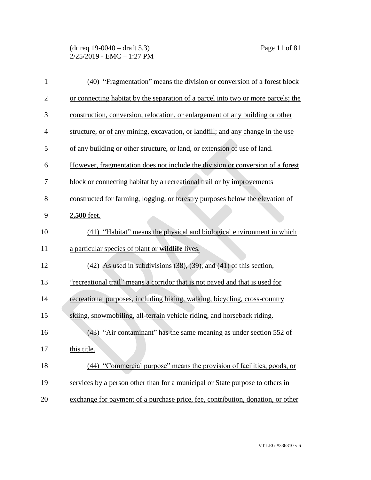| $\mathbf{1}$   | (40) "Fragmentation" means the division or conversion of a forest block           |
|----------------|-----------------------------------------------------------------------------------|
| $\overline{2}$ | or connecting habitat by the separation of a parcel into two or more parcels; the |
| 3              | construction, conversion, relocation, or enlargement of any building or other     |
| $\overline{4}$ | structure, or of any mining, excavation, or landfill; and any change in the use   |
| 5              | of any building or other structure, or land, or extension of use of land.         |
| 6              | However, fragmentation does not include the division or conversion of a forest    |
| 7              | block or connecting habitat by a recreational trail or by improvements            |
| 8              | constructed for farming, logging, or forestry purposes below the elevation of     |
| 9              | 2,500 feet.                                                                       |
| 10             | (41) "Habitat" means the physical and biological environment in which             |
| 11             | a particular species of plant or wildlife lives.                                  |
| 12             | $(42)$ As used in subdivisions $(38)$ , $(39)$ , and $(41)$ of this section,      |
| 13             | "recreational trail" means a corridor that is not paved and that is used for      |
| 14             | recreational purposes, including hiking, walking, bicycling, cross-country        |
| 15             | skiing, snowmobiling, all-terrain vehicle riding, and horseback riding.           |
| 16             | (43) "Air contaminant" has the same meaning as under section 552 of               |
| 17             | this title.                                                                       |
| 18             | (44) "Commercial purpose" means the provision of facilities, goods, or            |
| 19             | services by a person other than for a municipal or State purpose to others in     |
| 20             | exchange for payment of a purchase price, fee, contribution, donation, or other   |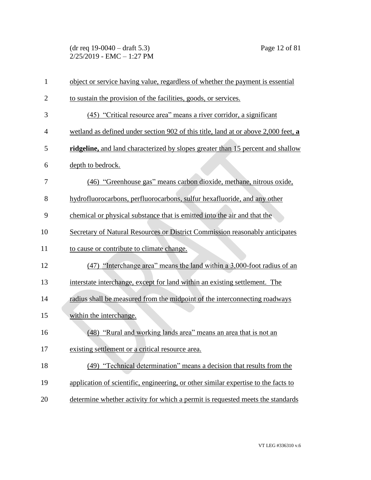(dr req 19-0040 – draft 5.3) Page 12 of 81 2/25/2019 - EMC – 1:27 PM

| $\mathbf{1}$   | object or service having value, regardless of whether the payment is essential     |
|----------------|------------------------------------------------------------------------------------|
| $\overline{2}$ | to sustain the provision of the facilities, goods, or services.                    |
| 3              | (45) "Critical resource area" means a river corridor, a significant                |
| $\overline{4}$ | wetland as defined under section 902 of this title, land at or above 2,000 feet, a |
| 5              | ridgeline, and land characterized by slopes greater than 15 percent and shallow    |
| 6              | depth to bedrock.                                                                  |
| 7              | (46) "Greenhouse gas" means carbon dioxide, methane, nitrous oxide,                |
| 8              | hydrofluorocarbons, perfluorocarbons, sulfur hexafluoride, and any other           |
| 9              | chemical or physical substance that is emitted into the air and that the           |
| 10             | Secretary of Natural Resources or District Commission reasonably anticipates       |
| 11             | to cause or contribute to climate change.                                          |
| 12             | (47) "Interchange area" means the land within a 3,000-foot radius of an            |
| 13             | interstate interchange, except for land within an existing settlement. The         |
| 14             | radius shall be measured from the midpoint of the interconnecting roadways         |
| 15             | within the interchange.                                                            |
| 16             | (48) "Rural and working lands area" means an area that is not an                   |
| 17             | existing settlement or a critical resource area.                                   |
| 18             | (49) "Technical determination" means a decision that results from the              |
| 19             | application of scientific, engineering, or other similar expertise to the facts to |
| 20             | determine whether activity for which a permit is requested meets the standards     |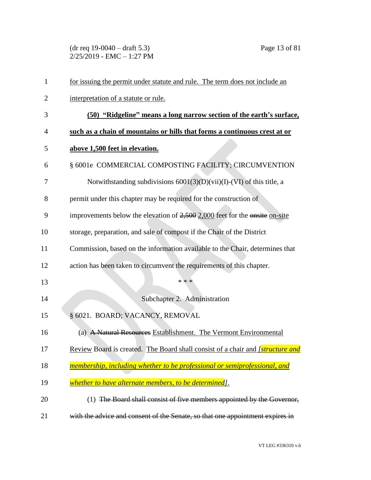(dr req 19-0040 – draft 5.3) Page 13 of 81  $2/25/2019$  - EMC - 1:27 PM

| $\mathbf{1}$   | for issuing the permit under statute and rule. The term does not include an           |
|----------------|---------------------------------------------------------------------------------------|
| $\overline{2}$ | interpretation of a statute or rule.                                                  |
| 3              | (50) "Ridgeline" means a long narrow section of the earth's surface,                  |
| 4              | such as a chain of mountains or hills that forms a continuous crest at or             |
| 5              | above 1,500 feet in elevation.                                                        |
| 6              | § 6001e COMMERCIAL COMPOSTING FACILITY; CIRCUMVENTION                                 |
| 7              | Notwithstanding subdivisions $6001(3)(D)(vii)(I)-(VI)$ of this title, a               |
| 8              | permit under this chapter may be required for the construction of                     |
| 9              | improvements below the elevation of $2,500$ 2,000 feet for the onsite on-site         |
| 10             | storage, preparation, and sale of compost if the Chair of the District                |
| 11             | Commission, based on the information available to the Chair, determines that          |
| 12             | action has been taken to circumvent the requirements of this chapter.                 |
| 13             | * * *                                                                                 |
| 14             | Subchapter 2. Administration                                                          |
| 15             | § 6021. BOARD; VACANCY, REMOVAL                                                       |
| 16             | (a) A Natural Resources Establishment. The Vermont Environmental                      |
| 17             | Review Board is created. The Board shall consist of a chair and <i>[structure and</i> |
| 18             | membership, including whether to be professional or semiprofessional, and             |
| 19             | whether to have alternate members, to be determined].                                 |
| 20             | (1) The Board shall consist of five members appointed by the Governor,                |
| 21             | with the advice and consent of the Senate, so that one appointment expires in         |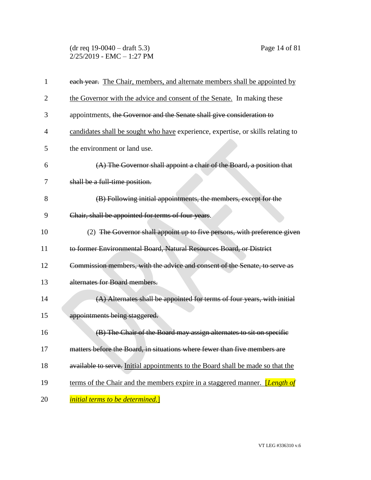## (dr req 19-0040 – draft 5.3) Page 14 of 81  $2/25/2019$  - EMC - 1:27 PM

| 1  | each year. The Chair, members, and alternate members shall be appointed by           |
|----|--------------------------------------------------------------------------------------|
| 2  | the Governor with the advice and consent of the Senate. In making these              |
| 3  | appointments, the Governor and the Senate shall give consideration to                |
| 4  | candidates shall be sought who have experience, expertise, or skills relating to     |
| 5  | the environment or land use.                                                         |
| 6  | (A) The Governor shall appoint a chair of the Board, a position that                 |
| 7  | shall be a full-time position.                                                       |
| 8  | (B) Following initial appointments, the members, except for the                      |
| 9  | Chair, shall be appointed for terms of four years.                                   |
| 10 | (2) The Governor shall appoint up to five persons, with preference given             |
| 11 | to former Environmental Board, Natural Resources Board, or District                  |
| 12 | Commission members, with the advice and consent of the Senate, to serve as           |
| 13 | alternates for Board members.                                                        |
| 14 | (A) Alternates shall be appointed for terms of four years, with initial              |
| 15 | appointments being staggered.                                                        |
| 16 | (B) The Chair of the Board may assign alternates to sit on specific                  |
| 17 | matters before the Board, in situations where fewer than five members are            |
| 18 | available to serve. Initial appointments to the Board shall be made so that the      |
| 19 | terms of the Chair and the members expire in a staggered manner. <i>[Length of</i> ] |
| 20 | <i>initial terms to be determined.</i> ]                                             |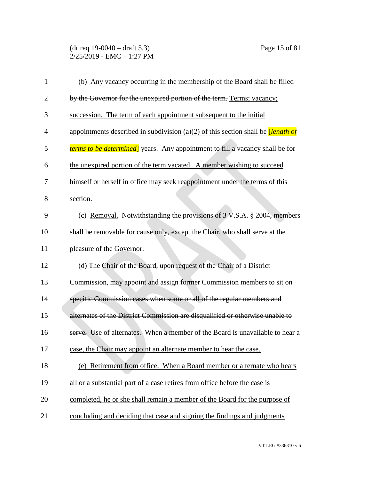(dr req 19-0040 – draft 5.3) Page 15 of 81 2/25/2019 - EMC – 1:27 PM

| 1              | (b) Any vacancy occurring in the membership of the Board shall be filled               |
|----------------|----------------------------------------------------------------------------------------|
| $\overline{2}$ | by the Governor for the unexpired portion of the term. Terms; vacancy;                 |
| 3              | succession. The term of each appointment subsequent to the initial                     |
| $\overline{4}$ | appointments described in subdivision (a)(2) of this section shall be <i>length of</i> |
| 5              | <i>terms to be determined</i> years. Any appointment to fill a vacancy shall be for    |
| 6              | the unexpired portion of the term vacated. A member wishing to succeed                 |
| 7              | himself or herself in office may seek reappointment under the terms of this            |
| 8              | section.                                                                               |
| 9              | (c) Removal. Notwithstanding the provisions of $3$ V.S.A. § 2004, members              |
| 10             | shall be removable for cause only, except the Chair, who shall serve at the            |
| 11             | pleasure of the Governor.                                                              |
| 12             | (d) The Chair of the Board, upon request of the Chair of a District                    |
| 13             | Commission, may appoint and assign former Commission members to sit on                 |
| 14             | specific Commission cases when some or all of the regular members and                  |
| 15             | alternates of the District Commission are disqualified or otherwise unable to          |
| 16             | serve. Use of alternates. When a member of the Board is unavailable to hear a          |
| 17             | case, the Chair may appoint an alternate member to hear the case.                      |
| 18             | (e) Retirement from office. When a Board member or alternate who hears                 |
| 19             | all or a substantial part of a case retires from office before the case is             |
| 20             | completed, he or she shall remain a member of the Board for the purpose of             |
| 21             | concluding and deciding that case and signing the findings and judgments               |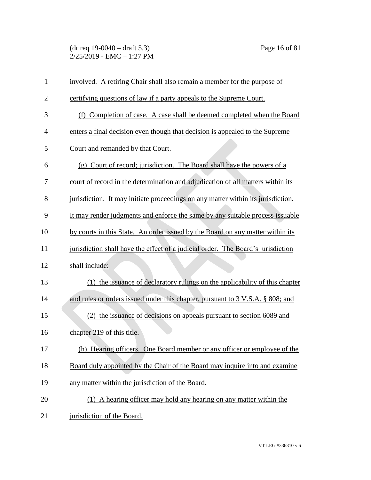(dr req 19-0040 – draft 5.3) Page 16 of 81 2/25/2019 - EMC – 1:27 PM

| $\mathbf{1}$   | involved. A retiring Chair shall also remain a member for the purpose of         |
|----------------|----------------------------------------------------------------------------------|
| $\overline{2}$ | certifying questions of law if a party appeals to the Supreme Court.             |
| 3              | (f) Completion of case. A case shall be deemed completed when the Board          |
| $\overline{4}$ | enters a final decision even though that decision is appealed to the Supreme     |
| 5              | Court and remanded by that Court.                                                |
| 6              | (g) Court of record; jurisdiction. The Board shall have the powers of a          |
| 7              | court of record in the determination and adjudication of all matters within its  |
| 8              | jurisdiction. It may initiate proceedings on any matter within its jurisdiction. |
| 9              | It may render judgments and enforce the same by any suitable process issuable    |
| 10             | by courts in this State. An order issued by the Board on any matter within its   |
| 11             | jurisdiction shall have the effect of a judicial order. The Board's jurisdiction |
| 12             | shall include:                                                                   |
| 13             | (1) the issuance of declaratory rulings on the applicability of this chapter     |
| 14             | and rules or orders issued under this chapter, pursuant to 3 V.S.A. § 808; and   |
| 15             | (2) the issuance of decisions on appeals pursuant to section 6089 and            |
| 16             | chapter 219 of this title.                                                       |
| 17             | (h) Hearing officers. One Board member or any officer or employee of the         |
| 18             | Board duly appointed by the Chair of the Board may inquire into and examine      |
| 19             | any matter within the jurisdiction of the Board.                                 |
| 20             | (1) A hearing officer may hold any hearing on any matter within the              |
| 21             | jurisdiction of the Board.                                                       |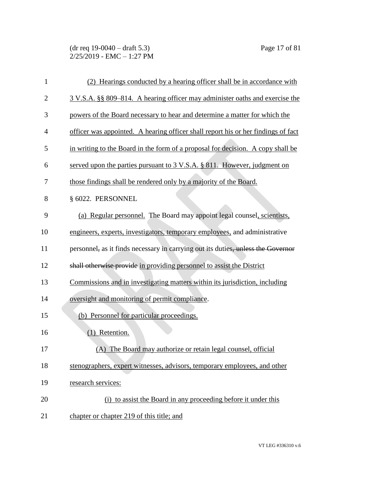(dr req 19-0040 – draft 5.3) Page 17 of 81 2/25/2019 - EMC – 1:27 PM

| 1              | (2) Hearings conducted by a hearing officer shall be in accordance with           |
|----------------|-----------------------------------------------------------------------------------|
| $\overline{2}$ | 3 V.S.A. §§ 809–814. A hearing officer may administer oaths and exercise the      |
| 3              | powers of the Board necessary to hear and determine a matter for which the        |
| $\overline{4}$ | officer was appointed. A hearing officer shall report his or her findings of fact |
| 5              | in writing to the Board in the form of a proposal for decision. A copy shall be   |
| 6              | served upon the parties pursuant to 3 V.S.A. § 811. However, judgment on          |
| 7              | those findings shall be rendered only by a majority of the Board.                 |
| 8              | § 6022. PERSONNEL                                                                 |
| 9              | (a) Regular personnel. The Board may appoint legal counsel, scientists,           |
| 10             | engineers, experts, investigators, temporary employees, and administrative        |
| 11             | personnel, as it finds necessary in carrying out its duties, unless the Governor  |
| 12             | shall otherwise provide in providing personnel to assist the District             |
| 13             | Commissions and in investigating matters within its jurisdiction, including       |
| 14             | oversight and monitoring of permit compliance.                                    |
| 15             | (b) Personnel for particular proceedings.                                         |
| 16             | Retention.<br>(1)                                                                 |
| 17             | (A) The Board may authorize or retain legal counsel, official                     |
| 18             | stenographers, expert witnesses, advisors, temporary employees, and other         |
| 19             | research services:                                                                |
| 20             | (i) to assist the Board in any proceeding before it under this                    |
| 21             | chapter or chapter 219 of this title; and                                         |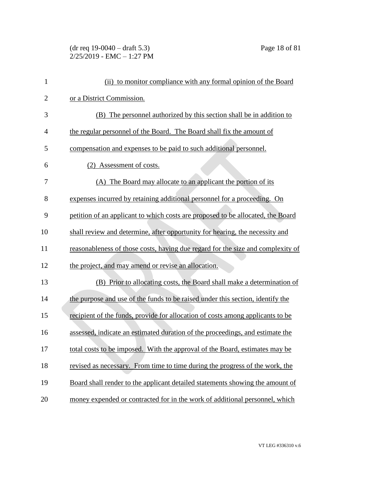# (dr req 19-0040 – draft 5.3) Page 18 of 81 2/25/2019 - EMC – 1:27 PM

| 1              | (ii) to monitor compliance with any formal opinion of the Board                 |
|----------------|---------------------------------------------------------------------------------|
| $\overline{2}$ | or a District Commission.                                                       |
| 3              | (B) The personnel authorized by this section shall be in addition to            |
| $\overline{4}$ | the regular personnel of the Board. The Board shall fix the amount of           |
| 5              | compensation and expenses to be paid to such additional personnel.              |
| 6              | (2) Assessment of costs.                                                        |
| 7              | (A) The Board may allocate to an applicant the portion of its                   |
| 8              | expenses incurred by retaining additional personnel for a proceeding. On        |
| 9              | petition of an applicant to which costs are proposed to be allocated, the Board |
| 10             | shall review and determine, after opportunity for hearing, the necessity and    |
| 11             | reasonableness of those costs, having due regard for the size and complexity of |
| 12             | the project, and may amend or revise an allocation.                             |
| 13             | (B) Prior to allocating costs, the Board shall make a determination of          |
| 14             | the purpose and use of the funds to be raised under this section, identify the  |
| 15             | recipient of the funds, provide for allocation of costs among applicants to be  |
| 16             | assessed, indicate an estimated duration of the proceedings, and estimate the   |
| 17             | total costs to be imposed. With the approval of the Board, estimates may be     |
| 18             | revised as necessary. From time to time during the progress of the work, the    |
| 19             | Board shall render to the applicant detailed statements showing the amount of   |
| 20             | money expended or contracted for in the work of additional personnel, which     |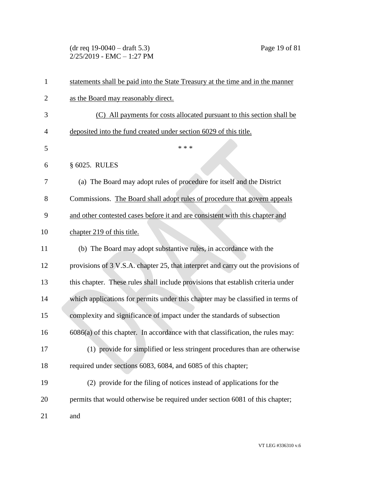(dr req 19-0040 – draft 5.3) Page 19 of 81  $2/25/2019$  - EMC - 1:27 PM

| $\mathbf{1}$   | statements shall be paid into the State Treasury at the time and in the manner    |
|----------------|-----------------------------------------------------------------------------------|
| $\overline{2}$ | as the Board may reasonably direct.                                               |
| 3              | (C) All payments for costs allocated pursuant to this section shall be            |
| 4              | deposited into the fund created under section 6029 of this title.                 |
| 5              | * * *                                                                             |
| 6              | § 6025. RULES                                                                     |
| 7              | (a) The Board may adopt rules of procedure for itself and the District            |
| 8              | Commissions. The Board shall adopt rules of procedure that govern appeals         |
| 9              | and other contested cases before it and are consistent with this chapter and      |
| 10             | chapter 219 of this title.                                                        |
| 11             | (b) The Board may adopt substantive rules, in accordance with the                 |
| 12             | provisions of 3 V.S.A. chapter 25, that interpret and carry out the provisions of |
| 13             | this chapter. These rules shall include provisions that establish criteria under  |
| 14             | which applications for permits under this chapter may be classified in terms of   |
| 15             | complexity and significance of impact under the standards of subsection           |
| 16             | $6086(a)$ of this chapter. In accordance with that classification, the rules may: |
| 17             | (1) provide for simplified or less stringent procedures than are otherwise        |
| 18             | required under sections 6083, 6084, and 6085 of this chapter;                     |
| 19             | (2) provide for the filing of notices instead of applications for the             |
| 20             | permits that would otherwise be required under section 6081 of this chapter;      |
| 21             | and                                                                               |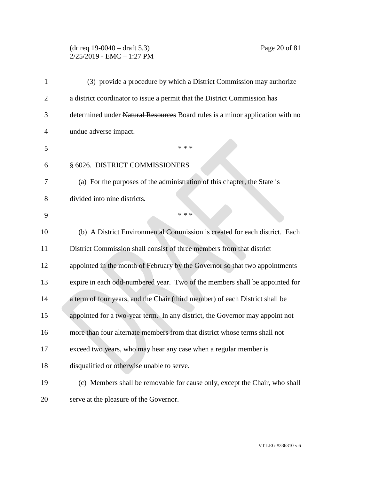# (dr req 19-0040 – draft 5.3) Page 20 of 81  $2/25/2019$  - EMC - 1:27 PM

| 1              | (3) provide a procedure by which a District Commission may authorize          |
|----------------|-------------------------------------------------------------------------------|
| $\overline{2}$ | a district coordinator to issue a permit that the District Commission has     |
| 3              | determined under Natural Resources Board rules is a minor application with no |
| 4              | undue adverse impact.                                                         |
| 5              | * * *                                                                         |
| 6              | § 6026. DISTRICT COMMISSIONERS                                                |
| 7              | (a) For the purposes of the administration of this chapter, the State is      |
| 8              | divided into nine districts.                                                  |
| 9              | * * *                                                                         |
| 10             | (b) A District Environmental Commission is created for each district. Each    |
| 11             | District Commission shall consist of three members from that district         |
| 12             | appointed in the month of February by the Governor so that two appointments   |
| 13             | expire in each odd-numbered year. Two of the members shall be appointed for   |
| 14             | a term of four years, and the Chair (third member) of each District shall be  |
| 15             | appointed for a two-year term. In any district, the Governor may appoint not  |
| 16             | more than four alternate members from that district whose terms shall not     |
| 17             | exceed two years, who may hear any case when a regular member is              |
| 18             | disqualified or otherwise unable to serve.                                    |
| 19             | (c) Members shall be removable for cause only, except the Chair, who shall    |
| 20             | serve at the pleasure of the Governor.                                        |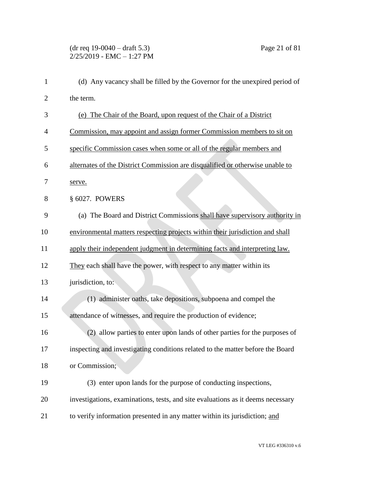# (dr req 19-0040 – draft 5.3) Page 21 of 81  $2/25/2019$  - EMC - 1:27 PM

| 1              | (d) Any vacancy shall be filled by the Governor for the unexpired period of     |
|----------------|---------------------------------------------------------------------------------|
| $\overline{2}$ | the term.                                                                       |
| 3              | (e) The Chair of the Board, upon request of the Chair of a District             |
| 4              | Commission, may appoint and assign former Commission members to sit on          |
| 5              | specific Commission cases when some or all of the regular members and           |
| 6              | alternates of the District Commission are disqualified or otherwise unable to   |
| 7              | serve.                                                                          |
| 8              | § 6027. POWERS                                                                  |
| 9              | (a) The Board and District Commissions shall have supervisory authority in      |
| 10             | environmental matters respecting projects within their jurisdiction and shall   |
| 11             | apply their independent judgment in determining facts and interpreting law.     |
| 12             | They each shall have the power, with respect to any matter within its           |
| 13             | jurisdiction, to:                                                               |
| 14             | (1) administer oaths, take depositions, subpoena and compel the                 |
| 15             | attendance of witnesses, and require the production of evidence;                |
| 16             | (2) allow parties to enter upon lands of other parties for the purposes of      |
| 17             | inspecting and investigating conditions related to the matter before the Board  |
| 18             | or Commission;                                                                  |
| 19             | (3) enter upon lands for the purpose of conducting inspections,                 |
| 20             | investigations, examinations, tests, and site evaluations as it deems necessary |
| 21             | to verify information presented in any matter within its jurisdiction; and      |

VT LEG #336310 v.6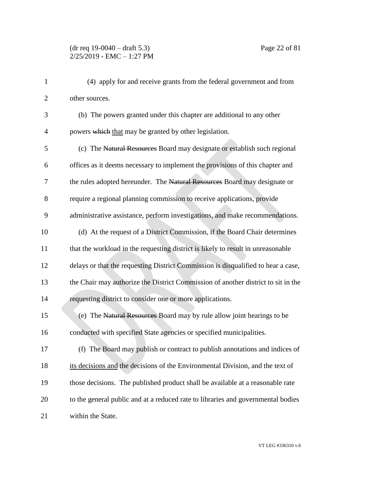(4) apply for and receive grants from the federal government and from other sources. (b) The powers granted under this chapter are additional to any other 4 powers which that may be granted by other legislation. (c) The Natural Resources Board may designate or establish such regional offices as it deems necessary to implement the provisions of this chapter and 7 the rules adopted hereunder. The Natural Resources Board may designate or require a regional planning commission to receive applications, provide administrative assistance, perform investigations, and make recommendations. (d) At the request of a District Commission, if the Board Chair determines that the workload in the requesting district is likely to result in unreasonable delays or that the requesting District Commission is disqualified to hear a case, the Chair may authorize the District Commission of another district to sit in the requesting district to consider one or more applications. 15 (e) The Natural Resources Board may by rule allow joint hearings to be conducted with specified State agencies or specified municipalities. (f) The Board may publish or contract to publish annotations and indices of its decisions and the decisions of the Environmental Division, and the text of those decisions. The published product shall be available at a reasonable rate to the general public and at a reduced rate to libraries and governmental bodies within the State.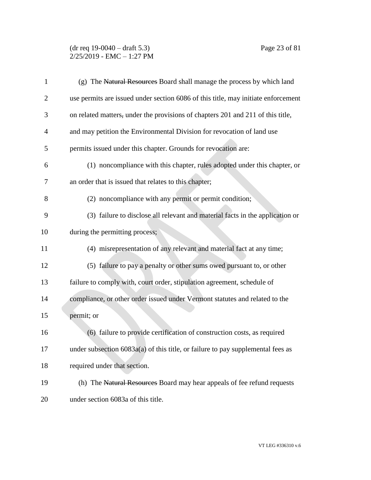### (dr req 19-0040 – draft 5.3) Page 23 of 81 2/25/2019 - EMC – 1:27 PM

| $\mathbf{1}$   | (g) The Natural Resources Board shall manage the process by which land            |
|----------------|-----------------------------------------------------------------------------------|
| $\overline{2}$ | use permits are issued under section 6086 of this title, may initiate enforcement |
| 3              | on related matters, under the provisions of chapters 201 and 211 of this title,   |
| $\overline{4}$ | and may petition the Environmental Division for revocation of land use            |
| 5              | permits issued under this chapter. Grounds for revocation are:                    |
| 6              | (1) noncompliance with this chapter, rules adopted under this chapter, or         |
| 7              | an order that is issued that relates to this chapter;                             |
| 8              | (2) noncompliance with any permit or permit condition;                            |
| 9              | (3) failure to disclose all relevant and material facts in the application or     |
| 10             | during the permitting process;                                                    |
| 11             | (4) misrepresentation of any relevant and material fact at any time;              |
| 12             | (5) failure to pay a penalty or other sums owed pursuant to, or other             |
| 13             | failure to comply with, court order, stipulation agreement, schedule of           |
| 14             | compliance, or other order issued under Vermont statutes and related to the       |
| 15             | permit; or                                                                        |
| 16             | (6) failure to provide certification of construction costs, as required           |
| 17             | under subsection $6083a(a)$ of this title, or failure to pay supplemental fees as |
| 18             | required under that section.                                                      |
| 19             | (h) The Natural Resources Board may hear appeals of fee refund requests           |
| 20             | under section 6083a of this title.                                                |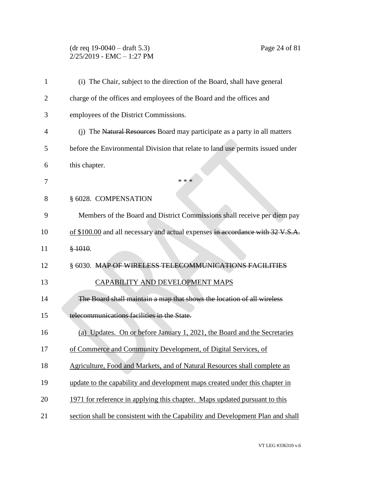# (dr req 19-0040 – draft 5.3) Page 24 of 81 2/25/2019 - EMC – 1:27 PM

| 1              | (i) The Chair, subject to the direction of the Board, shall have general       |
|----------------|--------------------------------------------------------------------------------|
| $\overline{2}$ | charge of the offices and employees of the Board and the offices and           |
| 3              | employees of the District Commissions.                                         |
| $\overline{4}$ | (j) The Natural Resources Board may participate as a party in all matters      |
| 5              | before the Environmental Division that relate to land use permits issued under |
| 6              | this chapter.                                                                  |
| 7              | * * *                                                                          |
| 8              | § 6028. COMPENSATION                                                           |
| 9              | Members of the Board and District Commissions shall receive per diem pay       |
| 10             | of \$100.00 and all necessary and actual expenses in accordance with 32 V.S.A. |
| 11             | \$1010.                                                                        |
| 12             | § 6030. MAP OF WIRELESS TELECOMMUNICATIONS FACILITIES                          |
| 13             | CAPABILITY AND DEVELOPMENT MAPS                                                |
| 14             | The Board shall maintain a map that shows the location of all wireless         |
| 15             | telecommunications facilities in the State.                                    |
| 16             | (a) Updates. On or before January 1, 2021, the Board and the Secretaries       |
| 17             | of Commerce and Community Development, of Digital Services, of                 |
| 18             | Agriculture, Food and Markets, and of Natural Resources shall complete an      |
| 19             | update to the capability and development maps created under this chapter in    |
| 20             | 1971 for reference in applying this chapter. Maps updated pursuant to this     |
| 21             | section shall be consistent with the Capability and Development Plan and shall |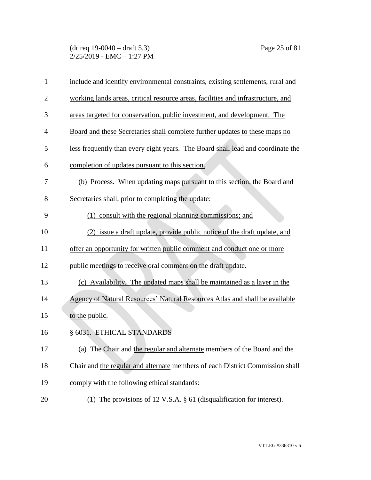(dr req 19-0040 – draft 5.3) Page 25 of 81  $2/25/2019$  - EMC - 1:27 PM

| $\mathbf{1}$   | include and identify environmental constraints, existing settlements, rural and  |
|----------------|----------------------------------------------------------------------------------|
| $\overline{2}$ | working lands areas, critical resource areas, facilities and infrastructure, and |
| 3              | areas targeted for conservation, public investment, and development. The         |
| 4              | Board and these Secretaries shall complete further updates to these maps no      |
| 5              | less frequently than every eight years. The Board shall lead and coordinate the  |
| 6              | completion of updates pursuant to this section.                                  |
| 7              | (b) Process. When updating maps pursuant to this section, the Board and          |
| 8              | Secretaries shall, prior to completing the update:                               |
| 9              | (1) consult with the regional planning commissions; and                          |
| 10             | (2) issue a draft update, provide public notice of the draft update, and         |
| 11             | offer an opportunity for written public comment and conduct one or more          |
| 12             | public meetings to receive oral comment on the draft update.                     |
| 13             | (c) Availability. The updated maps shall be maintained as a layer in the         |
| 14             | Agency of Natural Resources' Natural Resources Atlas and shall be available      |
| 15             | to the public.                                                                   |
| 16             | § 6031. ETHICAL STANDARDS                                                        |
| 17             | (a) The Chair and the regular and alternate members of the Board and the         |
| 18             | Chair and the regular and alternate members of each District Commission shall    |
| 19             | comply with the following ethical standards:                                     |
| 20             | (1) The provisions of 12 V.S.A. $\S$ 61 (disqualification for interest).         |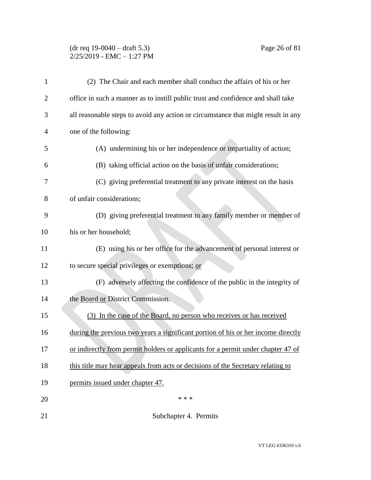### (dr req 19-0040 – draft 5.3) Page 26 of 81 2/25/2019 - EMC – 1:27 PM

| 1              | (2) The Chair and each member shall conduct the affairs of his or her             |
|----------------|-----------------------------------------------------------------------------------|
| $\overline{2}$ | office in such a manner as to instill public trust and confidence and shall take  |
| 3              | all reasonable steps to avoid any action or circumstance that might result in any |
| 4              | one of the following:                                                             |
| 5              | (A) undermining his or her independence or impartiality of action;                |
| 6              | (B) taking official action on the basis of unfair considerations;                 |
| 7              | (C) giving preferential treatment to any private interest on the basis            |
| 8              | of unfair considerations;                                                         |
| 9              | (D) giving preferential treatment to any family member or member of               |
| 10             | his or her household;                                                             |
| 11             | (E) using his or her office for the advancement of personal interest or           |
| 12             | to secure special privileges or exemptions; or                                    |
| 13             | (F) adversely affecting the confidence of the public in the integrity of          |
| 14             | the Board or District Commission.                                                 |
| 15             | (3) In the case of the Board, no person who receives or has received              |
| 16             | during the previous two years a significant portion of his or her income directly |
| 17             | or indirectly from permit holders or applicants for a permit under chapter 47 of  |
| 18             | this title may hear appeals from acts or decisions of the Secretary relating to   |
| 19             | permits issued under chapter 47.                                                  |
| 20             | * * *                                                                             |
| 21             | Subchapter 4. Permits                                                             |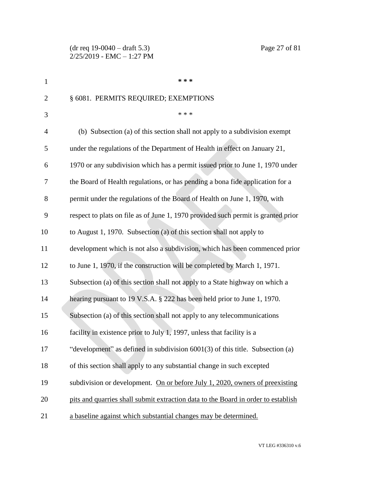(dr req 19-0040 – draft 5.3) Page 27 of 81 2/25/2019 - EMC – 1:27 PM

| $\mathbf{1}$   | * * *                                                                             |
|----------------|-----------------------------------------------------------------------------------|
| $\overline{2}$ | § 6081. PERMITS REQUIRED; EXEMPTIONS                                              |
| 3              | * * *                                                                             |
| $\overline{4}$ | (b) Subsection (a) of this section shall not apply to a subdivision exempt        |
| 5              | under the regulations of the Department of Health in effect on January 21,        |
| 6              | 1970 or any subdivision which has a permit issued prior to June 1, 1970 under     |
| 7              | the Board of Health regulations, or has pending a bona fide application for a     |
| 8              | permit under the regulations of the Board of Health on June 1, 1970, with         |
| 9              | respect to plats on file as of June 1, 1970 provided such permit is granted prior |
| 10             | to August 1, 1970. Subsection (a) of this section shall not apply to              |
| 11             | development which is not also a subdivision, which has been commenced prior       |
| 12             | to June 1, 1970, if the construction will be completed by March 1, 1971.          |
| 13             | Subsection (a) of this section shall not apply to a State highway on which a      |
| 14             | hearing pursuant to 19 V.S.A. § 222 has been held prior to June 1, 1970.          |
| 15             | Subsection (a) of this section shall not apply to any telecommunications          |
| 16             | facility in existence prior to July 1, 1997, unless that facility is a            |
| 17             | "development" as defined in subdivision $6001(3)$ of this title. Subsection (a)   |
| 18             | of this section shall apply to any substantial change in such excepted            |
| 19             | subdivision or development. On or before July 1, 2020, owners of preexisting      |
| 20             | pits and quarries shall submit extraction data to the Board in order to establish |
| 21             | a baseline against which substantial changes may be determined.                   |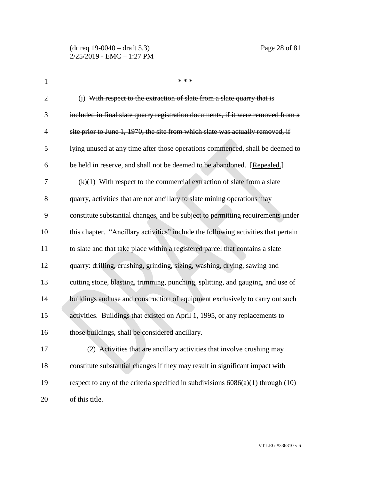| $\mathbf{1}$   | * * *                                                                                |
|----------------|--------------------------------------------------------------------------------------|
| $\overline{2}$ | (i) With respect to the extraction of slate from a slate quarry that is              |
| 3              | included in final slate quarry registration documents, if it were removed from a     |
| $\overline{4}$ | site prior to June 1, 1970, the site from which slate was actually removed, if       |
| 5              | lying unused at any time after those operations commenced, shall be deemed to        |
| 6              | be held in reserve, and shall not be deemed to be abandoned. [Repealed.]             |
| 7              | $(k)(1)$ With respect to the commercial extraction of slate from a slate             |
| 8              | quarry, activities that are not ancillary to slate mining operations may             |
| 9              | constitute substantial changes, and be subject to permitting requirements under      |
| 10             | this chapter. "Ancillary activities" include the following activities that pertain   |
| 11             | to slate and that take place within a registered parcel that contains a slate        |
| 12             | quarry: drilling, crushing, grinding, sizing, washing, drying, sawing and            |
| 13             | cutting stone, blasting, trimming, punching, splitting, and gauging, and use of      |
| 14             | buildings and use and construction of equipment exclusively to carry out such        |
| 15             | activities. Buildings that existed on April 1, 1995, or any replacements to          |
| 16             | those buildings, shall be considered ancillary.                                      |
| 17             | (2) Activities that are ancillary activities that involve crushing may               |
| 18             | constitute substantial changes if they may result in significant impact with         |
| 19             | respect to any of the criteria specified in subdivisions $6086(a)(1)$ through $(10)$ |
| 20             | of this title.                                                                       |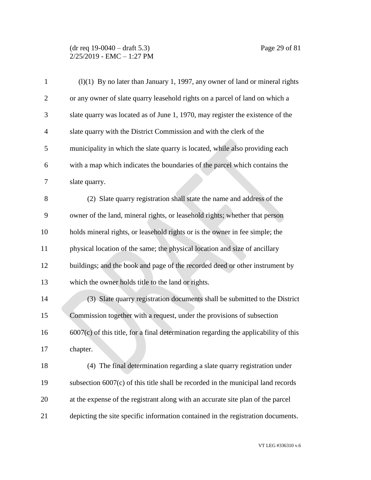| $\mathbf{1}$   | $(1)(1)$ By no later than January 1, 1997, any owner of land or mineral rights         |
|----------------|----------------------------------------------------------------------------------------|
| $\overline{2}$ | or any owner of slate quarry leasehold rights on a parcel of land on which a           |
| 3              | slate quarry was located as of June 1, 1970, may register the existence of the         |
| $\overline{4}$ | slate quarry with the District Commission and with the clerk of the                    |
| 5              | municipality in which the slate quarry is located, while also providing each           |
| 6              | with a map which indicates the boundaries of the parcel which contains the             |
| 7              | slate quarry.                                                                          |
| 8              | (2) Slate quarry registration shall state the name and address of the                  |
| 9              | owner of the land, mineral rights, or leasehold rights; whether that person            |
| 10             | holds mineral rights, or leasehold rights or is the owner in fee simple; the           |
| 11             | physical location of the same; the physical location and size of ancillary             |
| 12             | buildings; and the book and page of the recorded deed or other instrument by           |
| 13             | which the owner holds title to the land or rights.                                     |
| 14             | (3) Slate quarry registration documents shall be submitted to the District             |
| 15             | Commission together with a request, under the provisions of subsection                 |
| 16             | $6007(c)$ of this title, for a final determination regarding the applicability of this |
| 17             | chapter.                                                                               |
| 18             | (4) The final determination regarding a slate quarry registration under                |
| 19             | subsection $6007(c)$ of this title shall be recorded in the municipal land records     |
| 20             | at the expense of the registrant along with an accurate site plan of the parcel        |
| 21             | depicting the site specific information contained in the registration documents.       |

VT LEG #336310 v.6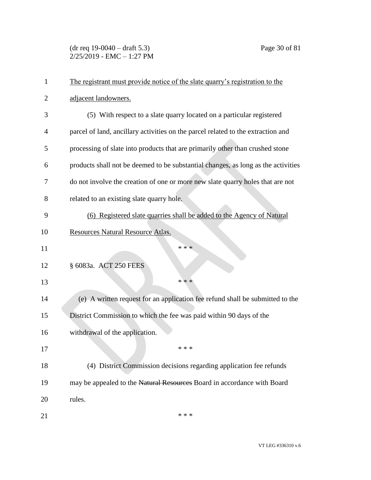(dr req 19-0040 – draft 5.3) Page 30 of 81  $2/25/2019$  - EMC - 1:27 PM

| 1              | The registrant must provide notice of the slate quarry's registration to the      |
|----------------|-----------------------------------------------------------------------------------|
| $\overline{2}$ | adjacent landowners.                                                              |
| 3              | (5) With respect to a slate quarry located on a particular registered             |
| 4              | parcel of land, ancillary activities on the parcel related to the extraction and  |
| 5              | processing of slate into products that are primarily other than crushed stone     |
| 6              | products shall not be deemed to be substantial changes, as long as the activities |
| 7              | do not involve the creation of one or more new slate quarry holes that are not    |
| 8              | related to an existing slate quarry hole.                                         |
| 9              | (6) Registered slate quarries shall be added to the Agency of Natural             |
| 10             | Resources Natural Resource Atlas.                                                 |
| 11             | * * *                                                                             |
| 12             | § 6083a. ACT 250 FEES                                                             |
| 13             | * * *                                                                             |
| 14             | (e) A written request for an application fee refund shall be submitted to the     |
| 15             | District Commission to which the fee was paid within 90 days of the               |
| 16             | withdrawal of the application.                                                    |
| 17             | * * *                                                                             |
| 18             | (4) District Commission decisions regarding application fee refunds               |
| 19             | may be appealed to the Natural Resources Board in accordance with Board           |
| 20             | rules.                                                                            |
| 21             | * * *                                                                             |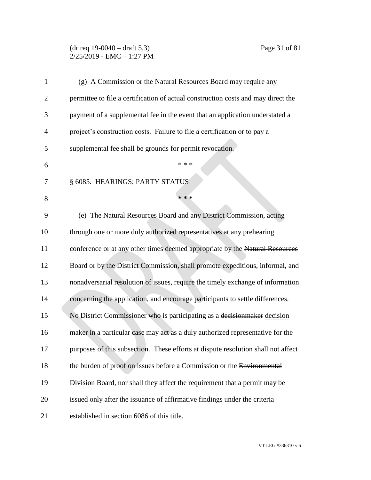### (dr req 19-0040 – draft 5.3) Page 31 of 81  $2/25/2019$  - EMC - 1:27 PM

| $\mathbf{1}$   | (g) A Commission or the Natural Resources Board may require any                   |
|----------------|-----------------------------------------------------------------------------------|
| $\overline{2}$ | permittee to file a certification of actual construction costs and may direct the |
| 3              | payment of a supplemental fee in the event that an application understated a      |
| $\overline{4}$ | project's construction costs. Failure to file a certification or to pay a         |
| 5              | supplemental fee shall be grounds for permit revocation.                          |
| 6              | * * *                                                                             |
| 7              | § 6085. HEARINGS; PARTY STATUS                                                    |
| 8              | * * *                                                                             |
| 9              | (e) The Natural Resources Board and any District Commission, acting               |
| 10             | through one or more duly authorized representatives at any prehearing             |
| 11             | conference or at any other times deemed appropriate by the Natural Resources      |
| 12             | Board or by the District Commission, shall promote expeditious, informal, and     |
| 13             | nonadversarial resolution of issues, require the timely exchange of information   |
| 14             | concerning the application, and encourage participants to settle differences.     |
| 15             | No District Commissioner who is participating as a decision maker decision        |
| 16             | maker in a particular case may act as a duly authorized representative for the    |
| 17             | purposes of this subsection. These efforts at dispute resolution shall not affect |
| 18             | the burden of proof on issues before a Commission or the Environmental            |
| 19             | Division Board, nor shall they affect the requirement that a permit may be        |
| 20             | issued only after the issuance of affirmative findings under the criteria         |
| 21             | established in section 6086 of this title.                                        |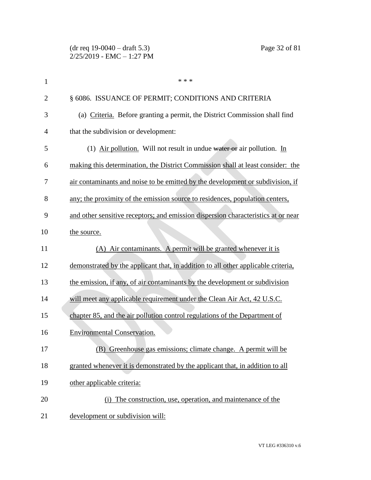| $\mathbf{1}$   | * * *                                                                             |
|----------------|-----------------------------------------------------------------------------------|
| $\overline{2}$ | § 6086. ISSUANCE OF PERMIT; CONDITIONS AND CRITERIA                               |
| 3              | (a) Criteria. Before granting a permit, the District Commission shall find        |
| 4              | that the subdivision or development:                                              |
| 5              | (1) Air pollution. Will not result in undue water or air pollution. In            |
| 6              | making this determination, the District Commission shall at least consider: the   |
| 7              | air contaminants and noise to be emitted by the development or subdivision, if    |
| 8              | any; the proximity of the emission source to residences, population centers,      |
| 9              | and other sensitive receptors; and emission dispersion characteristics at or near |
| 10             | the source.                                                                       |
| 11             | (A) Air contaminants. A permit will be granted whenever it is                     |
| 12             | demonstrated by the applicant that, in addition to all other applicable criteria, |
| 13             | the emission, if any, of air contaminants by the development or subdivision       |
| 14             | will meet any applicable requirement under the Clean Air Act, 42 U.S.C.           |
| 15             | chapter 85, and the air pollution control regulations of the Department of        |
| 16             | <b>Environmental Conservation.</b>                                                |
| 17             | (B) Greenhouse gas emissions; climate change. A permit will be                    |
| 18             | granted whenever it is demonstrated by the applicant that, in addition to all     |
| 19             | other applicable criteria:                                                        |
| 20             | (i) The construction, use, operation, and maintenance of the                      |
| 21             | development or subdivision will:                                                  |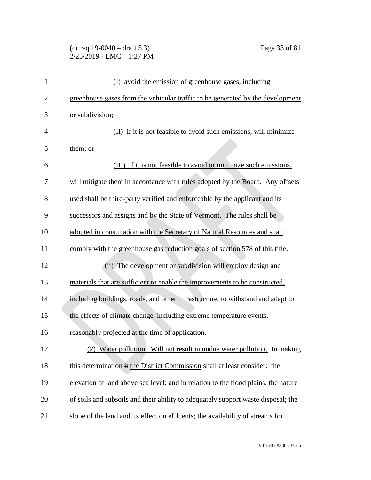# (dr req 19-0040 – draft 5.3) Page 33 of 81 2/25/2019 - EMC – 1:27 PM

| $\mathbf{1}$   | (I) avoid the emission of greenhouse gases, including                              |
|----------------|------------------------------------------------------------------------------------|
| $\overline{2}$ | greenhouse gases from the vehicular traffic to be generated by the development     |
| 3              | or subdivision;                                                                    |
| $\overline{4}$ | (II) if it is not feasible to avoid such emissions, will minimize                  |
| 5              | them; or                                                                           |
| 6              | (III) if it is not feasible to avoid or minimize such emissions,                   |
| 7              | will mitigate them in accordance with rules adopted by the Board. Any offsets      |
| 8              | used shall be third-party verified and enforceable by the applicant and its        |
| 9              | successors and assigns and by the State of Vermont. The rules shall be             |
| 10             | adopted in consultation with the Secretary of Natural Resources and shall          |
| 11             | comply with the greenhouse gas reduction goals of section 578 of this title.       |
| 12             | (ii) The development or subdivision will employ design and                         |
| 13             | materials that are sufficient to enable the improvements to be constructed,        |
| 14             | including buildings, roads, and other infrastructure, to withstand and adapt to    |
| 15             | the effects of climate change, including extreme temperature events,               |
| 16             | reasonably projected at the time of application.                                   |
| 17             | (2) Water pollution. Will not result in undue water pollution. In making           |
| 18             | this determination it the District Commission shall at least consider: the         |
| 19             | elevation of land above sea level; and in relation to the flood plains, the nature |
| 20             | of soils and subsoils and their ability to adequately support waste disposal; the  |
| 21             | slope of the land and its effect on effluents; the availability of streams for     |
|                |                                                                                    |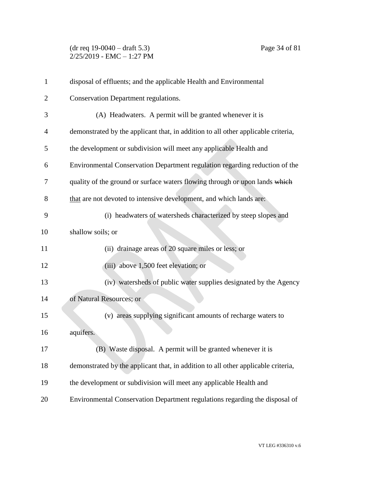# (dr req 19-0040 – draft 5.3) Page 34 of 81  $2/25/2019$  - EMC - 1:27 PM

| $\mathbf{1}$   | disposal of effluents; and the applicable Health and Environmental                |
|----------------|-----------------------------------------------------------------------------------|
| $\overline{2}$ | Conservation Department regulations.                                              |
| 3              | (A) Headwaters. A permit will be granted whenever it is                           |
| 4              | demonstrated by the applicant that, in addition to all other applicable criteria, |
| 5              | the development or subdivision will meet any applicable Health and                |
| 6              | Environmental Conservation Department regulation regarding reduction of the       |
| 7              | quality of the ground or surface waters flowing through or upon lands which       |
| 8              | that are not devoted to intensive development, and which lands are:               |
| 9              | (i) headwaters of watersheds characterized by steep slopes and                    |
| 10             | shallow soils; or                                                                 |
| 11             | (ii) drainage areas of 20 square miles or less; or                                |
| 12             | (iii) above 1,500 feet elevation; or                                              |
| 13             | (iv) watersheds of public water supplies designated by the Agency                 |
| 14             | of Natural Resources; or                                                          |
| 15             | (v) areas supplying significant amounts of recharge waters to                     |
| 16             | aquifers.                                                                         |
| 17             | (B) Waste disposal. A permit will be granted whenever it is                       |
| 18             | demonstrated by the applicant that, in addition to all other applicable criteria, |
| 19             | the development or subdivision will meet any applicable Health and                |
| 20             | Environmental Conservation Department regulations regarding the disposal of       |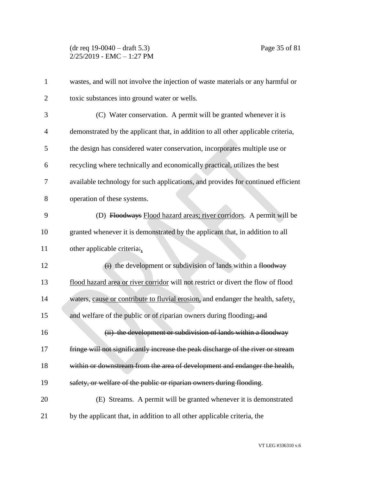| $\mathbf{1}$   | wastes, and will not involve the injection of waste materials or any harmful or   |
|----------------|-----------------------------------------------------------------------------------|
| $\overline{2}$ | toxic substances into ground water or wells.                                      |
| 3              | (C) Water conservation. A permit will be granted whenever it is                   |
| $\overline{4}$ | demonstrated by the applicant that, in addition to all other applicable criteria, |
| 5              | the design has considered water conservation, incorporates multiple use or        |
| 6              | recycling where technically and economically practical, utilizes the best         |
| 7              | available technology for such applications, and provides for continued efficient  |
| 8              | operation of these systems.                                                       |
| 9              | (D) Floodways Flood hazard areas; river corridors. A permit will be               |
| 10             | granted whenever it is demonstrated by the applicant that, in addition to all     |
| 11             | other applicable criteria:                                                        |
| 12             | $\overrightarrow{(i)}$ the development or subdivision of lands within a floodway  |
| 13             | flood hazard area or river corridor will not restrict or divert the flow of flood |
| 14             | waters, cause or contribute to fluvial erosion, and endanger the health, safety,  |
| 15             | and welfare of the public or of riparian owners during flooding; and              |
| 16             | (ii) the development or subdivision of lands within a floodway                    |
| 17             | fringe will not significantly increase the peak discharge of the river or stream  |
| 18             | within or downstream from the area of development and endanger the health,        |
| 19             | safety, or welfare of the public or riparian owners during flooding.              |
| 20             | (E) Streams. A permit will be granted whenever it is demonstrated                 |
| 21             | by the applicant that, in addition to all other applicable criteria, the          |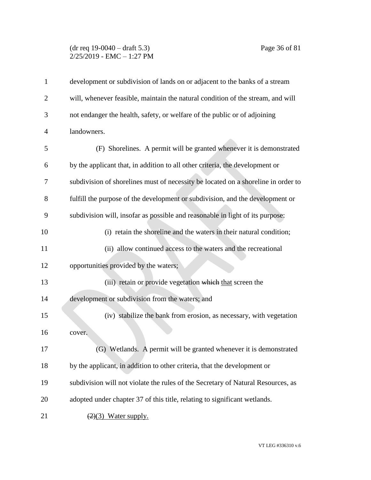## (dr req 19-0040 – draft 5.3) Page 36 of 81  $2/25/2019$  - EMC - 1:27 PM

| $\mathbf{1}$   | development or subdivision of lands on or adjacent to the banks of a stream       |
|----------------|-----------------------------------------------------------------------------------|
| $\overline{2}$ | will, whenever feasible, maintain the natural condition of the stream, and will   |
| 3              | not endanger the health, safety, or welfare of the public or of adjoining         |
| 4              | landowners.                                                                       |
| 5              | (F) Shorelines. A permit will be granted whenever it is demonstrated              |
| 6              | by the applicant that, in addition to all other criteria, the development or      |
| 7              | subdivision of shorelines must of necessity be located on a shoreline in order to |
| 8              | fulfill the purpose of the development or subdivision, and the development or     |
| 9              | subdivision will, insofar as possible and reasonable in light of its purpose:     |
| 10             | (i) retain the shoreline and the waters in their natural condition;               |
| 11             | (ii) allow continued access to the waters and the recreational                    |
| 12             | opportunities provided by the waters;                                             |
| 13             | (iii) retain or provide vegetation which that screen the                          |
| 14             | development or subdivision from the waters; and                                   |
| 15             | (iv) stabilize the bank from erosion, as necessary, with vegetation               |
| 16             | cover.                                                                            |
| 17             | (G) Wetlands. A permit will be granted whenever it is demonstrated                |
| 18             | by the applicant, in addition to other criteria, that the development or          |
| 19             | subdivision will not violate the rules of the Secretary of Natural Resources, as  |
| 20             | adopted under chapter 37 of this title, relating to significant wetlands.         |
| 21             | $(2)(3)$ Water supply.                                                            |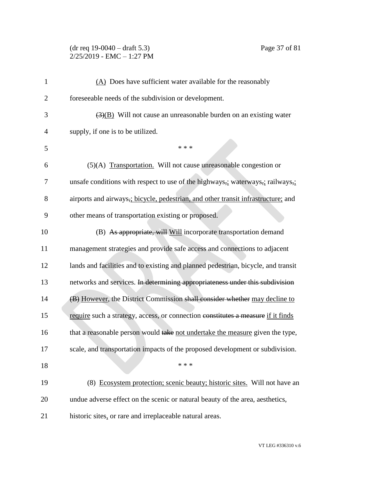### (dr req 19-0040 – draft 5.3) Page 37 of 81 2/25/2019 - EMC – 1:27 PM

| $\mathbf{1}$   | $(A)$ Does have sufficient water available for the reasonably                     |
|----------------|-----------------------------------------------------------------------------------|
| $\overline{2}$ | foreseeable needs of the subdivision or development.                              |
| 3              | $\overline{(3)(B)}$ Will not cause an unreasonable burden on an existing water    |
| 4              | supply, if one is to be utilized.                                                 |
| 5              | * * *                                                                             |
| 6              | (5)(A) Transportation. Will not cause unreasonable congestion or                  |
| 7              | unsafe conditions with respect to use of the highways,; waterways,; railways,;    |
| 8              | airports and airways,; bicycle, pedestrian, and other transit infrastructure; and |
| 9              | other means of transportation existing or proposed.                               |
| 10             | (B) As appropriate, will Will incorporate transportation demand                   |
| 11             | management strategies and provide safe access and connections to adjacent         |
| 12             | lands and facilities and to existing and planned pedestrian, bicycle, and transit |
| 13             | networks and services. In determining appropriateness under this subdivision      |
| 14             | (B) However, the District Commission shall consider whether may decline to        |
| 15             | require such a strategy, access, or connection constitutes a measure if it finds  |
| 16             | that a reasonable person would take not undertake the measure given the type,     |
| 17             | scale, and transportation impacts of the proposed development or subdivision.     |
| 18             | * * *                                                                             |
| 19             | (8) Ecosystem protection; scenic beauty; historic sites. Will not have an         |
| 20             | undue adverse effect on the scenic or natural beauty of the area, aesthetics,     |
| 21             | historic sites, or rare and irreplaceable natural areas.                          |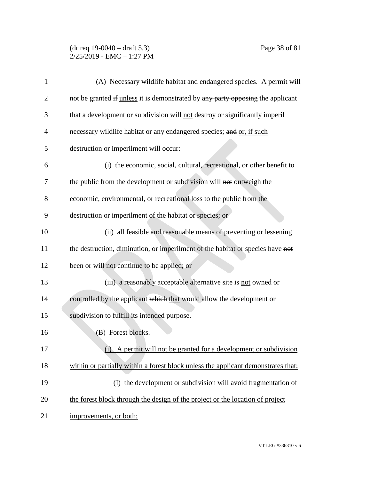### (dr req 19-0040 – draft 5.3) Page 38 of 81 2/25/2019 - EMC – 1:27 PM

| 1              | (A) Necessary wildlife habitat and endangered species. A permit will              |
|----------------|-----------------------------------------------------------------------------------|
| $\overline{2}$ | not be granted if unless it is demonstrated by any party opposing the applicant   |
| 3              | that a development or subdivision will not destroy or significantly imperil       |
| 4              | necessary wildlife habitat or any endangered species; and or, if such             |
| 5              | destruction or imperilment will occur:                                            |
| 6              | (i) the economic, social, cultural, recreational, or other benefit to             |
| 7              | the public from the development or subdivision will not outweigh the              |
| 8              | economic, environmental, or recreational loss to the public from the              |
| 9              | destruction or imperilment of the habitat or species; or                          |
| 10             | (ii) all feasible and reasonable means of preventing or lessening                 |
| 11             | the destruction, diminution, or imperilment of the habitat or species have not    |
| 12             | been or will not continue to be applied; or                                       |
| 13             | (iii) a reasonably acceptable alternative site is not owned or                    |
| 14             | controlled by the applicant which that would allow the development or             |
| 15             | subdivision to fulfill its intended purpose.                                      |
| 16             | (B) Forest blocks.                                                                |
| 17             | (i) A permit will not be granted for a development or subdivision                 |
| 18             | within or partially within a forest block unless the applicant demonstrates that: |
| 19             | (I) the development or subdivision will avoid fragmentation of                    |
| 20             | the forest block through the design of the project or the location of project     |
| 21             | improvements, or both;                                                            |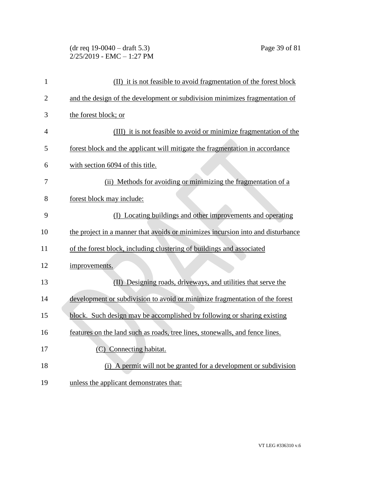### (dr req 19-0040 – draft 5.3) Page 39 of 81  $2/25/2019$  - EMC - 1:27 PM

| $\mathbf{1}$   | (II) it is not feasible to avoid fragmentation of the forest block              |
|----------------|---------------------------------------------------------------------------------|
| $\overline{2}$ | and the design of the development or subdivision minimizes fragmentation of     |
| 3              | the forest block; or                                                            |
| 4              | (III) it is not feasible to avoid or minimize fragmentation of the              |
| 5              | forest block and the applicant will mitigate the fragmentation in accordance    |
| 6              | with section 6094 of this title.                                                |
| 7              | (ii) Methods for avoiding or minimizing the fragmentation of a                  |
| 8              | forest block may include:                                                       |
| 9              | (I) Locating buildings and other improvements and operating                     |
| 10             | the project in a manner that avoids or minimizes incursion into and disturbance |
| 11             | of the forest block, including clustering of buildings and associated           |
| 12             | improvements.                                                                   |
| 13             | (II) Designing roads, driveways, and utilities that serve the                   |
| 14             | development or subdivision to avoid or minimize fragmentation of the forest     |
| 15             | block. Such design may be accomplished by following or sharing existing         |
| 16             | features on the land such as roads, tree lines, stonewalls, and fence lines.    |
| 17             | (C) Connecting habitat.                                                         |
| 18             | (i) A permit will not be granted for a development or subdivision               |
| 19             | unless the applicant demonstrates that:                                         |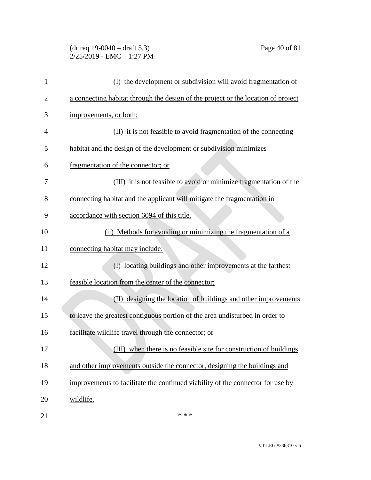### (dr req 19-0040 – draft 5.3) Page 40 of 81 2/25/2019 - EMC – 1:27 PM

| $\mathbf{1}$   | (I) the development or subdivision will avoid fragmentation of                    |
|----------------|-----------------------------------------------------------------------------------|
| $\overline{2}$ | a connecting habitat through the design of the project or the location of project |
| 3              | improvements, or both;                                                            |
| 4              | (II) it is not feasible to avoid fragmentation of the connecting                  |
| 5              | habitat and the design of the development or subdivision minimizes                |
| 6              | fragmentation of the connector; or                                                |
| 7              | (III) it is not feasible to avoid or minimize fragmentation of the                |
| 8              | connecting habitat and the applicant will mitigate the fragmentation in           |
| 9              | accordance with section 6094 of this title.                                       |
| 10             | (ii) Methods for avoiding or minimizing the fragmentation of a                    |
| 11             | connecting habitat may include:                                                   |
| 12             | locating buildings and other improvements at the farthest<br>$\rm(D)$             |
| 13             | feasible location from the center of the connector;                               |
| 14             | designing the location of buildings and other improvements<br>(II)                |
| 15             | to leave the greatest contiguous portion of the area undisturbed in order to      |
| 16             | facilitate wildlife travel through the connector; or                              |
| 17             | (III) when there is no feasible site for construction of buildings                |
| 18             | and other improvements outside the connector, designing the buildings and         |
| 19             | improvements to facilitate the continued viability of the connector for use by    |
| 20             | wildlife.                                                                         |
| 21             | * * *                                                                             |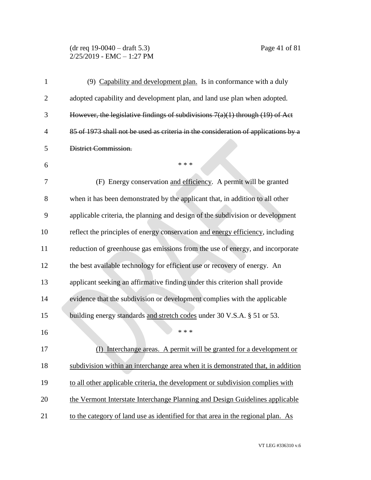#### (dr req 19-0040 – draft 5.3) Page 41 of 81  $2/25/2019$  - EMC - 1:27 PM

| 1              | (9) Capability and development plan. Is in conformance with a duly                 |
|----------------|------------------------------------------------------------------------------------|
| $\overline{2}$ | adopted capability and development plan, and land use plan when adopted.           |
| 3              | However, the legislative findings of subdivisions $7(a)(1)$ through $(19)$ of Act  |
| $\overline{4}$ | 85 of 1973 shall not be used as criteria in the consideration of applications by a |
| 5              | District Commission.                                                               |
| 6              | * * *                                                                              |
| 7              | (F) Energy conservation and efficiency. A permit will be granted                   |
| 8              | when it has been demonstrated by the applicant that, in addition to all other      |
| 9              | applicable criteria, the planning and design of the subdivision or development     |
| 10             | reflect the principles of energy conservation and energy efficiency, including     |
| 11             | reduction of greenhouse gas emissions from the use of energy, and incorporate      |
| 12             | the best available technology for efficient use or recovery of energy. An          |
| 13             | applicant seeking an affirmative finding under this criterion shall provide        |
| 14             | evidence that the subdivision or development complies with the applicable          |
| 15             | building energy standards and stretch codes under 30 V.S.A. § 51 or 53.            |
| 16             | * * *                                                                              |
| 17             | (I) Interchange areas. A permit will be granted for a development or               |
| 18             | subdivision within an interchange area when it is demonstrated that, in addition   |
| 19             | to all other applicable criteria, the development or subdivision complies with     |
| 20             | the Vermont Interstate Interchange Planning and Design Guidelines applicable       |
| 21             | to the category of land use as identified for that area in the regional plan. As   |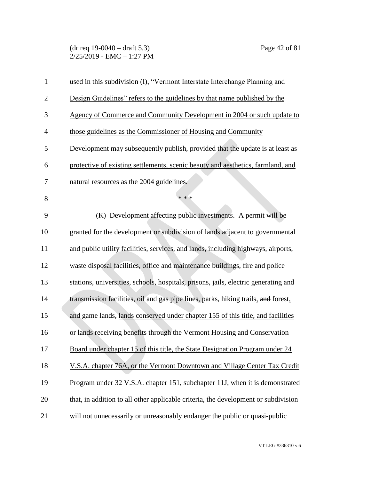(dr req 19-0040 – draft 5.3) Page 42 of 81  $2/25/2019$  - EMC - 1:27 PM

| $\mathbf{1}$   | used in this subdivision (I), "Vermont Interstate Interchange Planning and          |
|----------------|-------------------------------------------------------------------------------------|
| $\overline{2}$ | Design Guidelines" refers to the guidelines by that name published by the           |
| 3              | Agency of Commerce and Community Development in 2004 or such update to              |
| $\overline{4}$ | those guidelines as the Commissioner of Housing and Community                       |
| 5              | Development may subsequently publish, provided that the update is at least as       |
| 6              | protective of existing settlements, scenic beauty and aesthetics, farmland, and     |
| 7              | natural resources as the 2004 guidelines.                                           |
| 8              | * * *                                                                               |
| 9              | (K) Development affecting public investments. A permit will be                      |
| 10             | granted for the development or subdivision of lands adjacent to governmental        |
| 11             | and public utility facilities, services, and lands, including highways, airports,   |
| 12             | waste disposal facilities, office and maintenance buildings, fire and police        |
| 13             | stations, universities, schools, hospitals, prisons, jails, electric generating and |
| 14             | transmission facilities, oil and gas pipe lines, parks, hiking trails, and forest,  |
| 15             | and game lands, lands conserved under chapter 155 of this title, and facilities     |
| 16             | or lands receiving benefits through the Vermont Housing and Conservation            |
| 17             | Board under chapter 15 of this title, the State Designation Program under 24        |
| 18             | V.S.A. chapter 76A, or the Vermont Downtown and Village Center Tax Credit           |
| 19             | Program under 32 V.S.A. chapter 151, subchapter 11J, when it is demonstrated        |
| 20             | that, in addition to all other applicable criteria, the development or subdivision  |
| 21             | will not unnecessarily or unreasonably endanger the public or quasi-public          |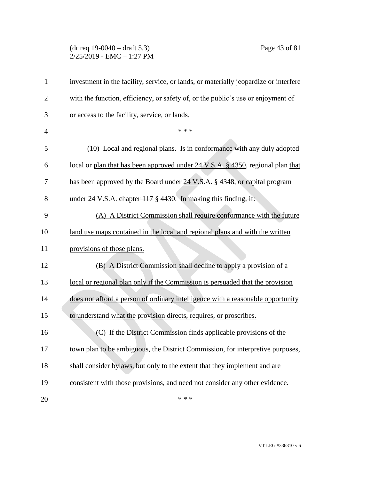#### (dr req 19-0040 – draft 5.3) Page 43 of 81 2/25/2019 - EMC – 1:27 PM

| $\mathbf{1}$   | investment in the facility, service, or lands, or materially jeopardize or interfere       |
|----------------|--------------------------------------------------------------------------------------------|
| $\overline{c}$ | with the function, efficiency, or safety of, or the public's use or enjoyment of           |
| 3              | or access to the facility, service, or lands.                                              |
| $\overline{4}$ | * * *                                                                                      |
| 5              | (10) Local and regional plans. Is in conformance with any duly adopted                     |
| 6              | local <del>or</del> plan that has been approved under 24 V.S.A. § 4350, regional plan that |
| 7              | has been approved by the Board under 24 V.S.A. § 4348, or capital program                  |
| 8              | under 24 V.S.A. chapter 117 § 4430. In making this finding, if:                            |
| 9              | (A) A District Commission shall require conformance with the future                        |
| 10             | land use maps contained in the local and regional plans and with the written               |
| 11             | provisions of those plans.                                                                 |
| 12             | (B) A District Commission shall decline to apply a provision of a                          |
| 13             | local or regional plan only if the Commission is persuaded that the provision              |
| 14             | does not afford a person of ordinary intelligence with a reasonable opportunity            |
| 15             | to understand what the provision directs, requires, or proscribes.                         |
| 16             | (C) If the District Commission finds applicable provisions of the                          |
| 17             | town plan to be ambiguous, the District Commission, for interpretive purposes,             |
| 18             | shall consider bylaws, but only to the extent that they implement and are                  |
| 19             | consistent with those provisions, and need not consider any other evidence.                |
| 20             | * * *                                                                                      |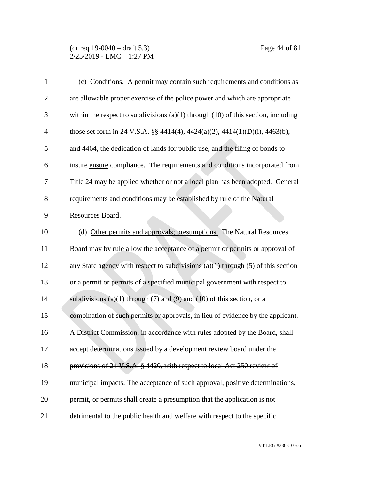#### (dr req 19-0040 – draft 5.3) Page 44 of 81  $2/25/2019$  - EMC - 1:27 PM

| $\mathbf{1}$   | (c) Conditions. A permit may contain such requirements and conditions as              |
|----------------|---------------------------------------------------------------------------------------|
| $\overline{2}$ | are allowable proper exercise of the police power and which are appropriate           |
| 3              | within the respect to subdivisions $(a)(1)$ through $(10)$ of this section, including |
| $\overline{4}$ | those set forth in 24 V.S.A. §§ 4414(4), 4424(a)(2), 4414(1)(D)(i), 4463(b),          |
| 5              | and 4464, the dedication of lands for public use, and the filing of bonds to          |
| 6              | insure ensure compliance. The requirements and conditions incorporated from           |
| 7              | Title 24 may be applied whether or not a local plan has been adopted. General         |
| 8              | requirements and conditions may be established by rule of the Natural                 |
| 9              | Resources Board.                                                                      |
| 10             | (d) Other permits and approvals; presumptions. The Natural Resources                  |
| 11             | Board may by rule allow the acceptance of a permit or permits or approval of          |
| 12             | any State agency with respect to subdivisions $(a)(1)$ through $(5)$ of this section  |
| 13             | or a permit or permits of a specified municipal government with respect to            |
| 14             | subdivisions (a)(1) through (7) and (9) and (10) of this section, or a                |
| 15             | combination of such permits or approvals, in lieu of evidence by the applicant.       |
| 16             | A District Commission, in accordance with rules adopted by the Board, shall           |
| 17             | accept determinations issued by a development review board under the                  |
| 18             | provisions of 24 V.S.A. § 4420, with respect to local Act 250 review of               |
| 19             | municipal impacts. The acceptance of such approval, positive determinations,          |
| 20             | permit, or permits shall create a presumption that the application is not             |
| 21             | detrimental to the public health and welfare with respect to the specific             |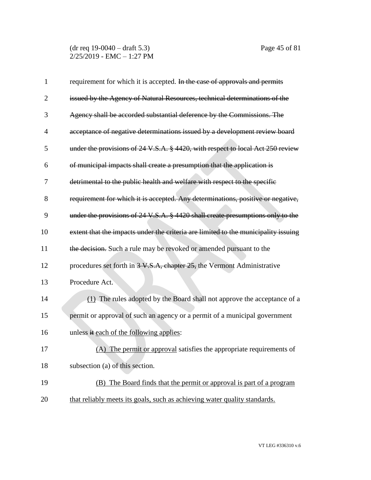(dr req 19-0040 – draft 5.3) Page 45 of 81 2/25/2019 - EMC – 1:27 PM

| $\mathbf{1}$   | requirement for which it is accepted. In the case of approvals and permits         |
|----------------|------------------------------------------------------------------------------------|
| $\overline{2}$ | issued by the Agency of Natural Resources, technical determinations of the         |
| 3              | Agency shall be accorded substantial deference by the Commissions. The             |
| $\overline{4}$ | acceptance of negative determinations issued by a development review board         |
| 5              | under the provisions of 24 V.S.A. § 4420, with respect to local Act 250 review     |
| 6              | of municipal impacts shall create a presumption that the application is            |
| 7              | detrimental to the public health and welfare with respect to the specific          |
| 8              | requirement for which it is accepted. Any determinations, positive or negative,    |
| 9              | under the provisions of 24 V.S.A. § 4420 shall create presumptions only to the     |
| 10             | extent that the impacts under the criteria are limited to the municipality issuing |
| 11             | the decision. Such a rule may be revoked or amended pursuant to the                |
| 12             | procedures set forth in 3 V.S.A, chapter 25, the Vermont Administrative            |
| 13             | Procedure Act.                                                                     |
| 14             | (1) The rules adopted by the Board shall not approve the acceptance of a           |
| 15             | permit or approval of such an agency or a permit of a municipal government         |
| 16             | unless it each of the following applies:                                           |
| 17             | (A) The permit or approval satisfies the appropriate requirements of               |
| 18             | subsection (a) of this section.                                                    |
| 19             | (B) The Board finds that the permit or approval is part of a program               |
| 20             | that reliably meets its goals, such as achieving water quality standards.          |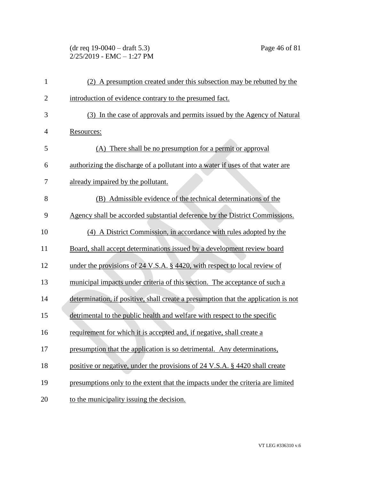(dr req 19-0040 – draft 5.3) Page 46 of 81 2/25/2019 - EMC – 1:27 PM

| 1              | (2) A presumption created under this subsection may be rebutted by the             |
|----------------|------------------------------------------------------------------------------------|
| $\overline{c}$ | introduction of evidence contrary to the presumed fact.                            |
| 3              | (3) In the case of approvals and permits issued by the Agency of Natural           |
| 4              | Resources:                                                                         |
| 5              | (A) There shall be no presumption for a permit or approval                         |
| 6              | authorizing the discharge of a pollutant into a water if uses of that water are    |
| 7              | already impaired by the pollutant.                                                 |
| 8              | (B) Admissible evidence of the technical determinations of the                     |
| 9              | Agency shall be accorded substantial deference by the District Commissions.        |
| 10             | (4) A District Commission, in accordance with rules adopted by the                 |
| 11             | Board, shall accept determinations issued by a development review board            |
| 12             | under the provisions of 24 V.S.A. § 4420, with respect to local review of          |
| 13             | municipal impacts under criteria of this section. The acceptance of such a         |
| 14             | determination, if positive, shall create a presumption that the application is not |
| 15             | detrimental to the public health and welfare with respect to the specific          |
| 16             | requirement for which it is accepted and, if negative, shall create a              |
| 17             | presumption that the application is so detrimental. Any determinations,            |
| 18             | positive or negative, under the provisions of 24 V.S.A. § 4420 shall create        |
| 19             | presumptions only to the extent that the impacts under the criteria are limited    |
| 20             | to the municipality issuing the decision.                                          |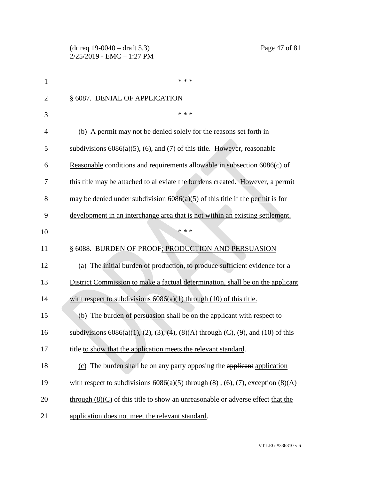| 1              | * * *                                                                                                   |
|----------------|---------------------------------------------------------------------------------------------------------|
| $\overline{2}$ | § 6087. DENIAL OF APPLICATION                                                                           |
| 3              | * * *                                                                                                   |
| $\overline{4}$ | (b) A permit may not be denied solely for the reasons set forth in                                      |
| 5              | subdivisions $6086(a)(5)$ , (6), and (7) of this title. However, reasonable                             |
| 6              | Reasonable conditions and requirements allowable in subsection 6086(c) of                               |
| 7              | this title may be attached to alleviate the burdens created. However, a permit                          |
| 8              | may be denied under subdivision $6086(a)(5)$ of this title if the permit is for                         |
| 9              | development in an interchange area that is not within an existing settlement.                           |
| 10             | * * *                                                                                                   |
| 11             | § 6088. BURDEN OF PROOF; PRODUCTION AND PERSUASION                                                      |
| 12             | (a) The initial burden of production, to produce sufficient evidence for a                              |
| 13             | District Commission to make a factual determination, shall be on the applicant                          |
| 14             | with respect to subdivisions $6086(a)(1)$ through $(10)$ of this title.                                 |
| 15             | (b) The burden of persuasion shall be on the applicant with respect to                                  |
| 16             | subdivisions $6086(a)(1)$ , $(2)$ , $(3)$ , $(4)$ , $(8)(A)$ through $(C)$ , $(9)$ , and $(10)$ of this |
| 17             | title to show that the application meets the relevant standard.                                         |
| 18             | (c) The burden shall be on any party opposing the applicant application                                 |
| 19             | with respect to subdivisions $6086(a)(5)$ through $(8)$ , $(6)$ , $(7)$ , exception $(8)(A)$            |
| 20             | through $(8)(C)$ of this title to show an unreasonable or adverse effect that the                       |
| 21             | application does not meet the relevant standard.                                                        |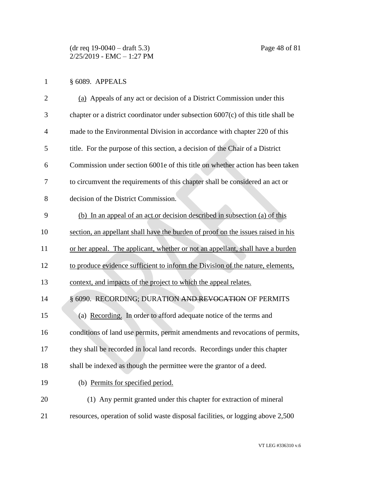# § 6089. APPEALS

| $\overline{2}$ | (a) Appeals of any act or decision of a District Commission under this              |
|----------------|-------------------------------------------------------------------------------------|
| 3              | chapter or a district coordinator under subsection $6007(c)$ of this title shall be |
| $\overline{4}$ | made to the Environmental Division in accordance with chapter 220 of this           |
| 5              | title. For the purpose of this section, a decision of the Chair of a District       |
| 6              | Commission under section 6001e of this title on whether action has been taken       |
| 7              | to circumvent the requirements of this chapter shall be considered an act or        |
| 8              | decision of the District Commission.                                                |
| 9              | (b) In an appeal of an act or decision described in subsection (a) of this          |
| 10             | section, an appellant shall have the burden of proof on the issues raised in his    |
| 11             | or her appeal. The applicant, whether or not an appellant, shall have a burden      |
| 12             | to produce evidence sufficient to inform the Division of the nature, elements,      |
| 13             | context, and impacts of the project to which the appeal relates.                    |
| 14             | § 6090. RECORDING; DURATION AND REVOCATION OF PERMITS                               |
| 15             | (a) Recording. In order to afford adequate notice of the terms and                  |
| 16             | conditions of land use permits, permit amendments and revocations of permits,       |
| 17             | they shall be recorded in local land records. Recordings under this chapter         |
| 18             | shall be indexed as though the permittee were the grantor of a deed.                |
| 19             | (b) Permits for specified period.                                                   |
| 20             | (1) Any permit granted under this chapter for extraction of mineral                 |
| 21             | resources, operation of solid waste disposal facilities, or logging above 2,500     |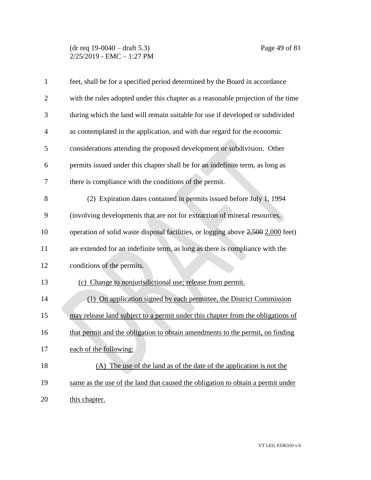#### (dr req 19-0040 – draft 5.3) Page 49 of 81  $2/25/2019$  - EMC - 1:27 PM

| $\mathbf{1}$   | feet, shall be for a specified period determined by the Board in accordance      |
|----------------|----------------------------------------------------------------------------------|
| $\overline{c}$ | with the rules adopted under this chapter as a reasonable projection of the time |
| 3              | during which the land will remain suitable for use if developed or subdivided    |
| 4              | as contemplated in the application, and with due regard for the economic         |
| 5              | considerations attending the proposed development or subdivision. Other          |
| 6              | permits issued under this chapter shall be for an indefinite term, as long as    |
| 7              | there is compliance with the conditions of the permit.                           |
| 8              | (2) Expiration dates contained in permits issued before July 1, 1994             |
| 9              | (involving developments that are not for extraction of mineral resources,        |
| 10             | operation of solid waste disposal facilities, or logging above 2,500 2,000 feet) |
| 11             | are extended for an indefinite term, as long as there is compliance with the     |
| 12             | conditions of the permits.                                                       |
| 13             | (c) Change to nonjurisdictional use; release from permit.                        |
| 14             | (1) On application signed by each permittee, the District Commission             |
| 15             | may release land subject to a permit under this chapter from the obligations of  |
| 16             | that permit and the obligation to obtain amendments to the permit, on finding    |
| 17             | each of the following:                                                           |
| 18             | (A) The use of the land as of the date of the application is not the             |
| 19             | same as the use of the land that caused the obligation to obtain a permit under  |
| 20             | this chapter.                                                                    |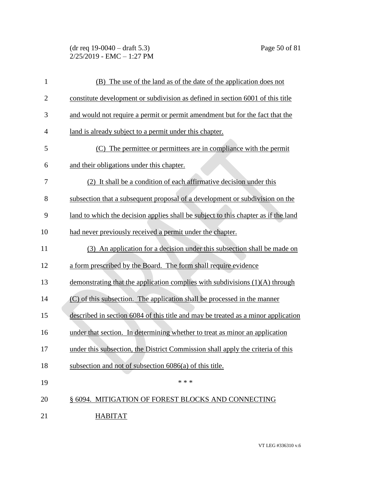(dr req 19-0040 – draft 5.3) Page 50 of 81 2/25/2019 - EMC – 1:27 PM

| $\mathbf{1}$   | (B) The use of the land as of the date of the application does not                 |
|----------------|------------------------------------------------------------------------------------|
| $\overline{2}$ | constitute development or subdivision as defined in section 6001 of this title     |
| 3              | and would not require a permit or permit amendment but for the fact that the       |
| 4              | land is already subject to a permit under this chapter.                            |
| 5              | (C) The permittee or permittees are in compliance with the permit                  |
| 6              | and their obligations under this chapter.                                          |
| 7              | (2) It shall be a condition of each affirmative decision under this                |
| 8              | subsection that a subsequent proposal of a development or subdivision on the       |
| 9              | land to which the decision applies shall be subject to this chapter as if the land |
| 10             | had never previously received a permit under the chapter.                          |
| 11             | (3) An application for a decision under this subsection shall be made on           |
| 12             | a form prescribed by the Board. The form shall require evidence                    |
| 13             | demonstrating that the application complies with subdivisions (1)(A) through       |
| 14             | (C) of this subsection. The application shall be processed in the manner           |
| 15             | described in section 6084 of this title and may be treated as a minor application  |
| 16             | under that section. In determining whether to treat as minor an application        |
| 17             | under this subsection, the District Commission shall apply the criteria of this    |
| 18             | subsection and not of subsection 6086(a) of this title.                            |
| 19             | * * *                                                                              |
| 20             | § 6094. MITIGATION OF FOREST BLOCKS AND CONNECTING                                 |
| 21             | <b>HABITAT</b>                                                                     |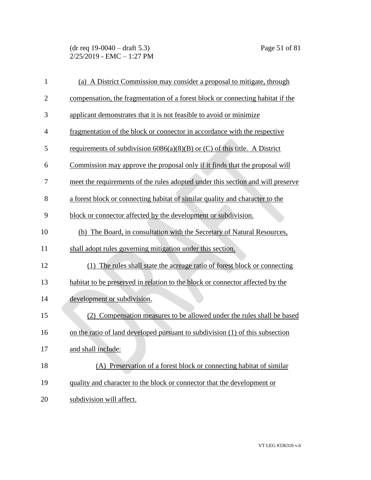(dr req 19-0040 – draft 5.3) Page 51 of 81  $2/25/2019$  - EMC - 1:27 PM

| $\mathbf{1}$   | (a) A District Commission may consider a proposal to mitigate, through          |
|----------------|---------------------------------------------------------------------------------|
| $\overline{2}$ | compensation, the fragmentation of a forest block or connecting habitat if the  |
| 3              | applicant demonstrates that it is not feasible to avoid or minimize             |
| $\overline{4}$ | fragmentation of the block or connector in accordance with the respective       |
| 5              | requirements of subdivision $6086(a)(8)(B)$ or (C) of this title. A District    |
| 6              | Commission may approve the proposal only if it finds that the proposal will     |
| 7              | meet the requirements of the rules adopted under this section and will preserve |
| 8              | a forest block or connecting habitat of similar quality and character to the    |
| 9              | block or connector affected by the development or subdivision.                  |
| 10             | (b) The Board, in consultation with the Secretary of Natural Resources,         |
| 11             | shall adopt rules governing mitigation under this section.                      |
| 12             | The rules shall state the acreage ratio of forest block or connecting<br>(1)    |
| 13             | habitat to be preserved in relation to the block or connector affected by the   |
| 14             | development or subdivision.                                                     |
| 15             | (2) Compensation measures to be allowed under the rules shall be based          |
| 16             | on the ratio of land developed pursuant to subdivision (1) of this subsection   |
| 17             | and shall include:                                                              |
| 18             | (A) Preservation of a forest block or connecting habitat of similar             |
| 19             | quality and character to the block or connector that the development or         |
| 20             | subdivision will affect.                                                        |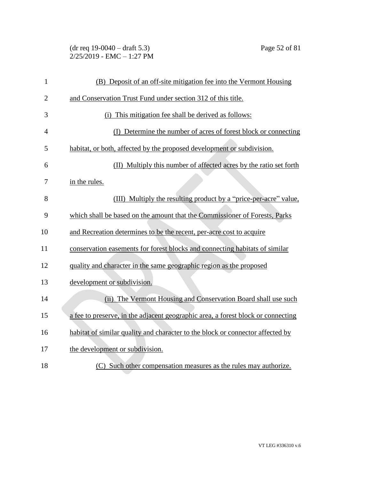(dr req 19-0040 – draft 5.3) Page 52 of 81 2/25/2019 - EMC – 1:27 PM

| $\mathbf{1}$   | (B) Deposit of an off-site mitigation fee into the Vermont Housing               |
|----------------|----------------------------------------------------------------------------------|
| $\mathbf{2}$   | and Conservation Trust Fund under section 312 of this title.                     |
| 3              | (i) This mitigation fee shall be derived as follows:                             |
| $\overline{4}$ | (I) Determine the number of acres of forest block or connecting                  |
| 5              | habitat, or both, affected by the proposed development or subdivision.           |
| 6              | (II) Multiply this number of affected acres by the ratio set forth               |
| 7              | in the rules.                                                                    |
| 8              | (III) Multiply the resulting product by a "price-per-acre" value,                |
| 9              | which shall be based on the amount that the Commissioner of Forests, Parks       |
| 10             | and Recreation determines to be the recent, per-acre cost to acquire             |
| 11             | conservation easements for forest blocks and connecting habitats of similar      |
| 12             | quality and character in the same geographic region as the proposed              |
| 13             | development or subdivision.                                                      |
| 14             | (ii) The Vermont Housing and Conservation Board shall use such                   |
| 15             | a fee to preserve, in the adjacent geographic area, a forest block or connecting |
| 16             | habitat of similar quality and character to the block or connector affected by   |
| 17             | the development or subdivision.                                                  |
| 18             | (C) Such other compensation measures as the rules may authorize.                 |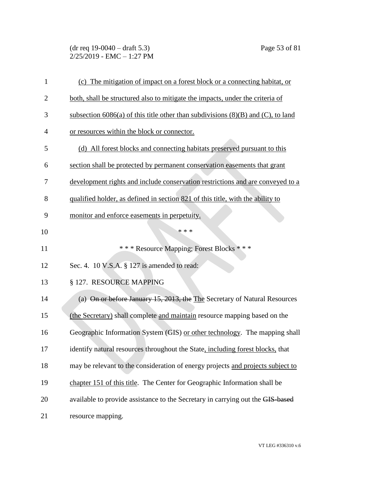(dr req 19-0040 – draft 5.3) Page 53 of 81 2/25/2019 - EMC – 1:27 PM

| $\mathbf{1}$   | (c) The mitigation of impact on a forest block or a connecting habitat, or            |
|----------------|---------------------------------------------------------------------------------------|
| $\overline{2}$ | both, shall be structured also to mitigate the impacts, under the criteria of         |
| 3              | subsection 6086(a) of this title other than subdivisions $(8)(B)$ and $(C)$ , to land |
| 4              | or resources within the block or connector.                                           |
| 5              | (d) All forest blocks and connecting habitats preserved pursuant to this              |
| 6              | section shall be protected by permanent conservation easements that grant             |
| 7              | development rights and include conservation restrictions and are conveyed to a        |
| 8              | qualified holder, as defined in section 821 of this title, with the ability to        |
| 9              | monitor and enforce easements in perpetuity.                                          |
| 10             | * * *                                                                                 |
| 11             | *** Resource Mapping; Forest Blocks ***                                               |
| 12             | Sec. 4. 10 V.S.A. § 127 is amended to read:                                           |
| 13             | § 127. RESOURCE MAPPING                                                               |
| 14             | (a) On or before January 15, 2013, the The Secretary of Natural Resources             |
| 15             | (the Secretary) shall complete and maintain resource mapping based on the             |
| 16             | Geographic Information System (GIS) or other technology. The mapping shall            |
| 17             | identify natural resources throughout the State, including forest blocks, that        |
| 18             | may be relevant to the consideration of energy projects and projects subject to       |
| 19             | chapter 151 of this title. The Center for Geographic Information shall be             |
| 20             | available to provide assistance to the Secretary in carrying out the GIS-based        |
| 21             | resource mapping.                                                                     |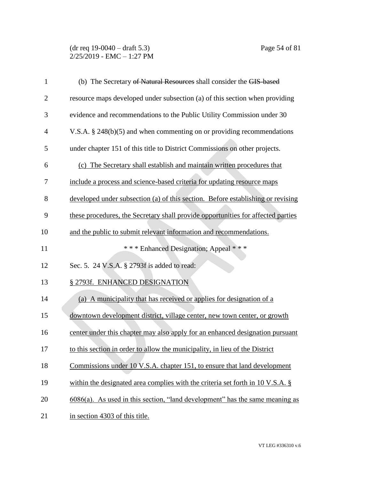#### (dr req 19-0040 – draft 5.3) Page 54 of 81  $2/25/2019$  - EMC - 1:27 PM

| $\mathbf{1}$   | (b) The Secretary of Natural Resources shall consider the GIS-based                       |
|----------------|-------------------------------------------------------------------------------------------|
| $\overline{2}$ | resource maps developed under subsection (a) of this section when providing               |
| 3              | evidence and recommendations to the Public Utility Commission under 30                    |
| $\overline{4}$ | V.S.A. $\S$ 248(b)(5) and when commenting on or providing recommendations                 |
| 5              | under chapter 151 of this title to District Commissions on other projects.                |
| 6              | (c) The Secretary shall establish and maintain written procedures that                    |
| 7              | include a process and science-based criteria for updating resource maps                   |
| 8              | developed under subsection (a) of this section. Before establishing or revising           |
| 9              | these procedures, the Secretary shall provide opportunities for affected parties          |
| 10             | and the public to submit relevant information and recommendations.                        |
| 11             | *** Enhanced Designation; Appeal ***                                                      |
| 12             | Sec. 5. 24 V.S.A. § 2793f is added to read:                                               |
| 13             | § 2793f. ENHANCED DESIGNATION                                                             |
| 14             | (a) A municipality that has received or applies for designation of a                      |
| 15             | downtown development district, village center, new town center, or growth                 |
| 16             | center under this chapter may also apply for an enhanced designation pursuant             |
| 17             | to this section in order to allow the municipality, in lieu of the District               |
| 18             | Commissions under 10 V.S.A. chapter 151, to ensure that land development                  |
| 19             | within the designated area complies with the criteria set forth in $10 \text{ V.S.A.}$ \$ |
| 20             | $6086(a)$ . As used in this section, "land development" has the same meaning as           |
| 21             | in section 4303 of this title.                                                            |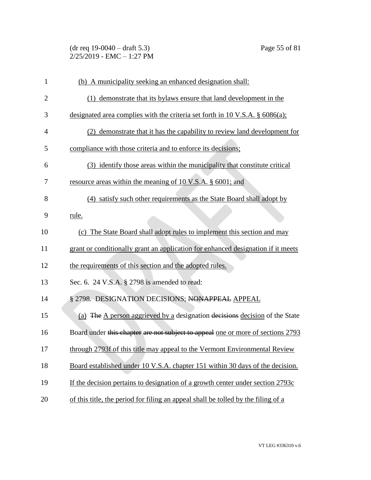| $(dr \text{ req } 19-0040 - draft 5.3)$ |  |
|-----------------------------------------|--|
| 2/25/2019 - EMC – 1:27 PM               |  |

| 1              | (b) A municipality seeking an enhanced designation shall:                         |
|----------------|-----------------------------------------------------------------------------------|
| $\overline{2}$ | (1) demonstrate that its by laws ensure that land development in the              |
| 3              | designated area complies with the criteria set forth in 10 V.S.A. § 6086(a);      |
| $\overline{4}$ | (2) demonstrate that it has the capability to review land development for         |
| 5              | compliance with those criteria and to enforce its decisions;                      |
| 6              | (3) identify those areas within the municipality that constitute critical         |
| 7              | resource areas within the meaning of 10 V.S.A. § 6001; and                        |
| 8              | (4) satisfy such other requirements as the State Board shall adopt by             |
| 9              | rule.                                                                             |
| 10             | (c) The State Board shall adopt rules to implement this section and may           |
| 11             | grant or conditionally grant an application for enhanced designation if it meets  |
| 12             | the requirements of this section and the adopted rules.                           |
| 13             | Sec. 6. 24 V.S.A. § 2798 is amended to read:                                      |
| 14             | § 2798. DESIGNATION DECISIONS; NONAPPEAL APPEAL                                   |
| 15             | (a) The A person aggrieved by a designation decisions decision of the State       |
| 16             | Board under this chapter are not subject to appeal one or more of sections 2793   |
| 17             | through 2793f of this title may appeal to the Vermont Environmental Review        |
| 18             | Board established under 10 V.S.A. chapter 151 within 30 days of the decision.     |
| 19             | If the decision pertains to designation of a growth center under section 2793c    |
| 20             | of this title, the period for filing an appeal shall be tolled by the filing of a |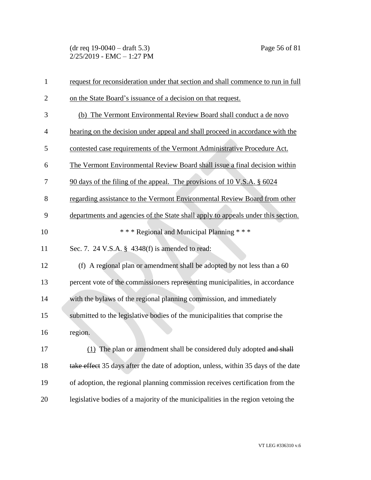(dr req 19-0040 – draft 5.3) Page 56 of 81  $2/25/2019$  - EMC - 1:27 PM

| $\mathbf{1}$   | request for reconsideration under that section and shall commence to run in full   |
|----------------|------------------------------------------------------------------------------------|
| $\overline{2}$ | on the State Board's issuance of a decision on that request.                       |
| 3              | (b) The Vermont Environmental Review Board shall conduct a de novo                 |
| $\overline{4}$ | hearing on the decision under appeal and shall proceed in accordance with the      |
| 5              | contested case requirements of the Vermont Administrative Procedure Act.           |
| 6              | The Vermont Environmental Review Board shall issue a final decision within         |
| 7              | 90 days of the filing of the appeal. The provisions of 10 V.S.A. § 6024            |
| 8              | regarding assistance to the Vermont Environmental Review Board from other          |
| 9              | departments and agencies of the State shall apply to appeals under this section.   |
| 10             | *** Regional and Municipal Planning ***                                            |
| 11             | Sec. 7. 24 V.S.A. § 4348(f) is amended to read:                                    |
| 12             | (f) A regional plan or amendment shall be adopted by not less than a 60            |
| 13             | percent vote of the commissioners representing municipalities, in accordance       |
| 14             | with the bylaws of the regional planning commission, and immediately               |
| 15             | submitted to the legislative bodies of the municipalities that comprise the        |
| 16             | region.                                                                            |
| 17             | (1) The plan or amendment shall be considered duly adopted and shall               |
| 18             | take effect 35 days after the date of adoption, unless, within 35 days of the date |
| 19             | of adoption, the regional planning commission receives certification from the      |
| 20             | legislative bodies of a majority of the municipalities in the region vetoing the   |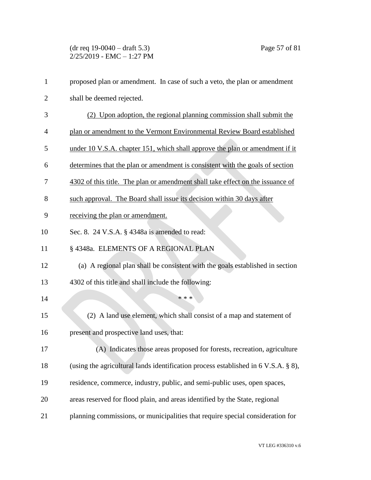| $\mathbf{1}$   | proposed plan or amendment. In case of such a veto, the plan or amendment               |
|----------------|-----------------------------------------------------------------------------------------|
| $\overline{2}$ | shall be deemed rejected.                                                               |
| 3              | (2) Upon adoption, the regional planning commission shall submit the                    |
| 4              | plan or amendment to the Vermont Environmental Review Board established                 |
| 5              | under 10 V.S.A. chapter 151, which shall approve the plan or amendment if it            |
| 6              | determines that the plan or amendment is consistent with the goals of section           |
| 7              | 4302 of this title. The plan or amendment shall take effect on the issuance of          |
| 8              | such approval. The Board shall issue its decision within 30 days after                  |
| 9              | receiving the plan or amendment.                                                        |
| 10             | Sec. 8. 24 V.S.A. § 4348a is amended to read:                                           |
| 11             | § 4348a. ELEMENTS OF A REGIONAL PLAN                                                    |
| 12             | (a) A regional plan shall be consistent with the goals established in section           |
| 13             | 4302 of this title and shall include the following:                                     |
| 14             | * * *                                                                                   |
| 15             | (2) A land use element, which shall consist of a map and statement of                   |
| 16             | present and prospective land uses, that:                                                |
| 17             | (A) Indicates those areas proposed for forests, recreation, agriculture                 |
| 18             | (using the agricultural lands identification process established in $6$ V.S.A. $\S$ 8), |
| 19             | residence, commerce, industry, public, and semi-public uses, open spaces,               |
| 20             | areas reserved for flood plain, and areas identified by the State, regional             |
| 21             | planning commissions, or municipalities that require special consideration for          |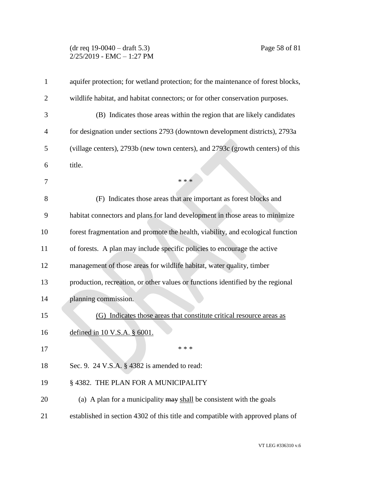#### (dr req 19-0040 – draft 5.3) Page 58 of 81 2/25/2019 - EMC – 1:27 PM

| aquifer protection; for wetland protection; for the maintenance of forest blocks, |
|-----------------------------------------------------------------------------------|
| wildlife habitat, and habitat connectors; or for other conservation purposes.     |
| (B) Indicates those areas within the region that are likely candidates            |
| for designation under sections 2793 (downtown development districts), 2793a       |
| (village centers), 2793b (new town centers), and 2793c (growth centers) of this   |
| title.                                                                            |
| * * *                                                                             |
| (F) Indicates those areas that are important as forest blocks and                 |
| habitat connectors and plans for land development in those areas to minimize      |
| forest fragmentation and promote the health, viability, and ecological function   |
| of forests. A plan may include specific policies to encourage the active          |
| management of those areas for wildlife habitat, water quality, timber             |
| production, recreation, or other values or functions identified by the regional   |
| planning commission.                                                              |
| (G) Indicates those areas that constitute critical resource areas as              |
| defined in 10 V.S.A. § 6001.                                                      |
| * * *                                                                             |
| Sec. 9. 24 V.S.A. § 4382 is amended to read:                                      |
| § 4382. THE PLAN FOR A MUNICIPALITY                                               |
| (a) A plan for a municipality $\frac{may}{head}$ be consistent with the goals     |
| established in section 4302 of this title and compatible with approved plans of   |
|                                                                                   |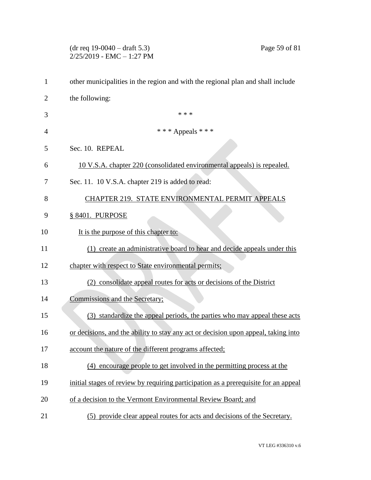|              | $(dr \text{ req } 19-0040 - draft 5.3)$<br>Page 59 of 81<br>2/25/2019 - EMC - 1:27 PM |
|--------------|---------------------------------------------------------------------------------------|
| $\mathbf{1}$ | other municipalities in the region and with the regional plan and shall include       |
| 2            | the following:                                                                        |
| 3            | * * *                                                                                 |
| 4            | *** Appeals ***                                                                       |
| 5            | Sec. 10. REPEAL                                                                       |
| 6            | 10 V.S.A. chapter 220 (consolidated environmental appeals) is repealed.               |
| 7            | Sec. 11. 10 V.S.A. chapter 219 is added to read:                                      |
| 8            | CHAPTER 219. STATE ENVIRONMENTAL PERMIT APPEALS                                       |
| 9            | § 8401. PURPOSE                                                                       |
| 10           | It is the purpose of this chapter to:                                                 |
| 11           | (1) create an administrative board to hear and decide appeals under this              |
| 12           | chapter with respect to State environmental permits;                                  |
| 13           | (2) consolidate appeal routes for acts or decisions of the District                   |
| 14           | Commissions and the Secretary;                                                        |
| 15           | (3) standardize the appeal periods, the parties who may appeal these acts             |
| 16           | or decisions, and the ability to stay any act or decision upon appeal, taking into    |
| 17           | account the nature of the different programs affected;                                |
| 18           | (4) encourage people to get involved in the permitting process at the                 |
| 19           | initial stages of review by requiring participation as a prerequisite for an appeal   |
| 20           | of a decision to the Vermont Environmental Review Board; and                          |
| 21           | (5) provide clear appeal routes for acts and decisions of the Secretary.              |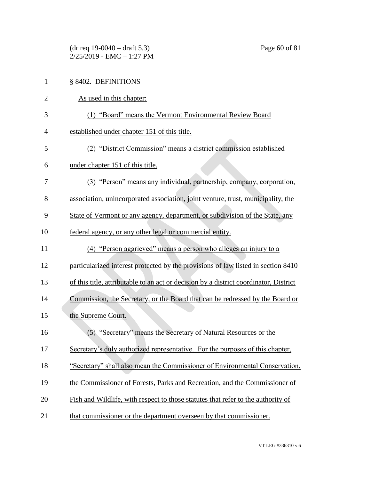(dr req 19-0040 – draft 5.3) Page 60 of 81  $2/25/2019$  - EMC - 1:27 PM

| $\mathbf{1}$   | § 8402. DEFINITIONS                                                                   |
|----------------|---------------------------------------------------------------------------------------|
| $\overline{2}$ | As used in this chapter:                                                              |
| 3              | (1) "Board" means the Vermont Environmental Review Board                              |
| 4              | established under chapter 151 of this title.                                          |
| 5              | (2) "District Commission" means a district commission established                     |
| 6              | under chapter 151 of this title.                                                      |
| 7              | (3) "Person" means any individual, partnership, company, corporation,                 |
| 8              | association, unincorporated association, joint venture, trust, municipality, the      |
| 9              | State of Vermont or any agency, department, or subdivision of the State, any          |
| 10             | federal agency, or any other legal or commercial entity.                              |
| 11             | (4) "Person aggrieved" means a person who alleges an injury to a                      |
| 12             | particularized interest protected by the provisions of law listed in section 8410     |
| 13             | of this title, attributable to an act or decision by a district coordinator, District |
| 14             | Commission, the Secretary, or the Board that can be redressed by the Board or         |
| 15             | the Supreme Court.                                                                    |
| 16             | (5) "Secretary" means the Secretary of Natural Resources or the                       |
| 17             | Secretary's duly authorized representative. For the purposes of this chapter,         |
| 18             | "Secretary" shall also mean the Commissioner of Environmental Conservation,           |
| 19             | the Commissioner of Forests, Parks and Recreation, and the Commissioner of            |
| 20             | Fish and Wildlife, with respect to those statutes that refer to the authority of      |
| 21             | that commissioner or the department overseen by that commissioner.                    |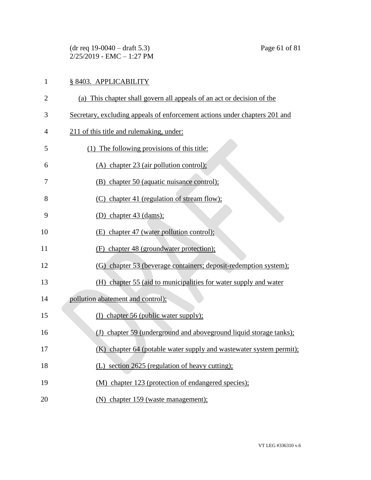(dr req 19-0040 – draft 5.3) Page 61 of 81 2/25/2019 - EMC – 1:27 PM

# 1 § 8403. APPLICABILITY

| $\overline{2}$ | (a) This chapter shall govern all appeals of an act or decision of the     |
|----------------|----------------------------------------------------------------------------|
| 3              | Secretary, excluding appeals of enforcement actions under chapters 201 and |
| 4              | 211 of this title and rulemaking, under:                                   |
| 5              | (1) The following provisions of this title:                                |
| 6              | (A) chapter 23 (air pollution control);                                    |
| 7              | (B) chapter 50 (aquatic nuisance control);                                 |
| 8              | (C) chapter 41 (regulation of stream flow);                                |
| 9              | (D) chapter $43$ (dams);                                                   |
| 10             | (E) chapter 47 (water pollution control);                                  |
| 11             | (F) chapter 48 (groundwater protection);                                   |
| 12             | (G) chapter 53 (beverage containers; deposit-redemption system);           |
| 13             | (H) chapter 55 (aid to municipalities for water supply and water           |
| 14             | pollution abatement and control);                                          |
| 15             | (I) chapter 56 (public water supply);                                      |
| 16             | (J) chapter 59 (underground and aboveground liquid storage tanks);         |
| 17             | (K) chapter 64 (potable water supply and wastewater system permit);        |
| 18             | (L) section 2625 (regulation of heavy cutting);                            |
| 19             | (M) chapter 123 (protection of endangered species);                        |
| 20             | (N) chapter 159 (waste management);                                        |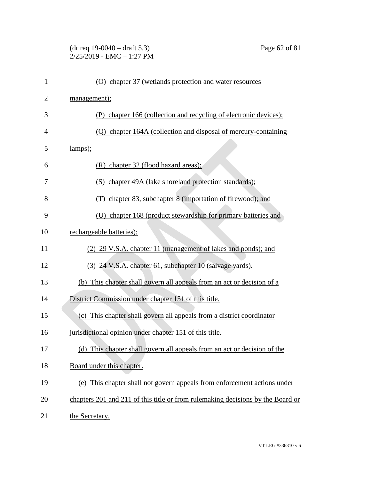### (dr req 19-0040 – draft 5.3) Page 62 of 81  $2/25/2019$  - EMC - 1:27 PM

| $\mathbf{1}$   | (O) chapter 37 (wetlands protection and water resources                         |
|----------------|---------------------------------------------------------------------------------|
| $\overline{2}$ | management);                                                                    |
| 3              | (P) chapter 166 (collection and recycling of electronic devices);               |
| $\overline{4}$ | (Q) chapter 164A (collection and disposal of mercury-containing                 |
| 5              | lamps);                                                                         |
| 6              | $(R)$ chapter 32 (flood hazard areas);                                          |
| 7              | (S) chapter 49A (lake shoreland protection standards);                          |
| 8              | chapter 83, subchapter 8 (importation of firewood); and<br>(T)                  |
| 9              | chapter 168 (product stewardship for primary batteries and<br>(U)               |
| 10             | rechargeable batteries);                                                        |
| 11             | (2) 29 V.S.A. chapter 11 (management of lakes and ponds); and                   |
| 12             | (3) 24 V.S.A. chapter 61, subchapter 10 (salvage yards).                        |
| 13             | (b) This chapter shall govern all appeals from an act or decision of a          |
| 14             | District Commission under chapter 151 of this title.                            |
| 15             | (c) This chapter shall govern all appeals from a district coordinator           |
| 16             | jurisdictional opinion under chapter 151 of this title.                         |
| 17             | (d) This chapter shall govern all appeals from an act or decision of the        |
| 18             | Board under this chapter.                                                       |
| 19             | (e) This chapter shall not govern appeals from enforcement actions under        |
| 20             | chapters 201 and 211 of this title or from rulemaking decisions by the Board or |
| 21             | the Secretary.                                                                  |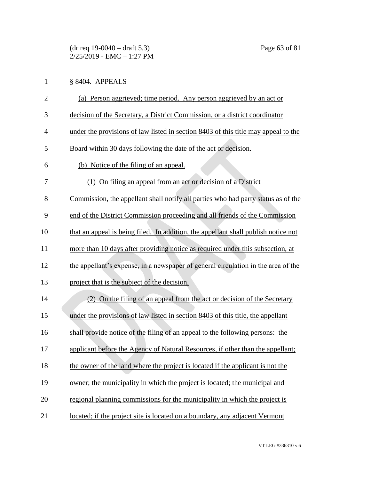# 1 § 8404. APPEALS

| $\overline{2}$ | (a) Person aggrieved; time period. Any person aggrieved by an act or               |
|----------------|------------------------------------------------------------------------------------|
| 3              | decision of the Secretary, a District Commission, or a district coordinator        |
| $\overline{4}$ | under the provisions of law listed in section 8403 of this title may appeal to the |
| 5              | Board within 30 days following the date of the act or decision.                    |
| 6              | (b) Notice of the filing of an appeal.                                             |
| 7              | (1) On filing an appeal from an act or decision of a District                      |
| 8              | Commission, the appellant shall notify all parties who had party status as of the  |
| 9              | end of the District Commission proceeding and all friends of the Commission        |
| 10             | that an appeal is being filed. In addition, the appellant shall publish notice not |
| 11             | more than 10 days after providing notice as required under this subsection, at     |
| 12             | the appellant's expense, in a newspaper of general circulation in the area of the  |
| 13             | project that is the subject of the decision.                                       |
| 14             | (2) On the filing of an appeal from the act or decision of the Secretary           |
| 15             | under the provisions of law listed in section 8403 of this title, the appellant    |
| 16             | shall provide notice of the filing of an appeal to the following persons: the      |
| 17             | applicant before the Agency of Natural Resources, if other than the appellant;     |
| 18             | the owner of the land where the project is located if the applicant is not the     |
| 19             | owner; the municipality in which the project is located; the municipal and         |
| 20             | regional planning commissions for the municipality in which the project is         |
| 21             | located; if the project site is located on a boundary, any adjacent Vermont        |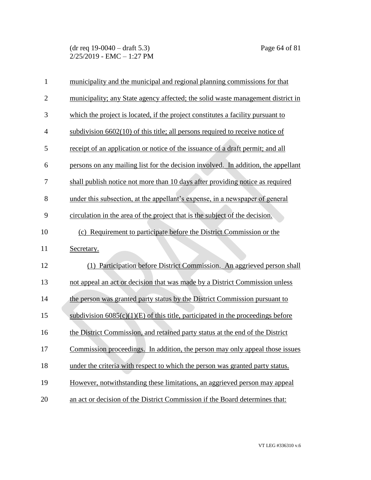(dr req 19-0040 – draft 5.3) Page 64 of 81  $2/25/2019$  - EMC - 1:27 PM

| $\mathbf{1}$   | municipality and the municipal and regional planning commissions for that           |
|----------------|-------------------------------------------------------------------------------------|
| $\overline{2}$ | municipality; any State agency affected; the solid waste management district in     |
| 3              | which the project is located, if the project constitutes a facility pursuant to     |
| $\overline{4}$ | subdivision $6602(10)$ of this title; all persons required to receive notice of     |
| 5              | receipt of an application or notice of the issuance of a draft permit; and all      |
| 6              | persons on any mailing list for the decision involved. In addition, the appellant   |
| 7              | shall publish notice not more than 10 days after providing notice as required       |
| 8              | under this subsection, at the appellant's expense, in a newspaper of general        |
| 9              | circulation in the area of the project that is the subject of the decision.         |
| 10             | (c) Requirement to participate before the District Commission or the                |
| 11             | Secretary.                                                                          |
| 12             | Participation before District Commission. An aggrieved person shall<br>(1)          |
| 13             | not appeal an act or decision that was made by a District Commission unless         |
| 14             | the person was granted party status by the District Commission pursuant to          |
| 15             | subdivision $6085(c)(1)(E)$ of this title, participated in the proceedings before   |
| 16             | the District Commission, and retained party status at the end of the District       |
| 17             | <u>Commission proceedings. In addition, the person may only appeal those issues</u> |
| 18             | under the criteria with respect to which the person was granted party status.       |
| 19             | However, notwithstanding these limitations, an aggrieved person may appeal          |
| 20             | an act or decision of the District Commission if the Board determines that:         |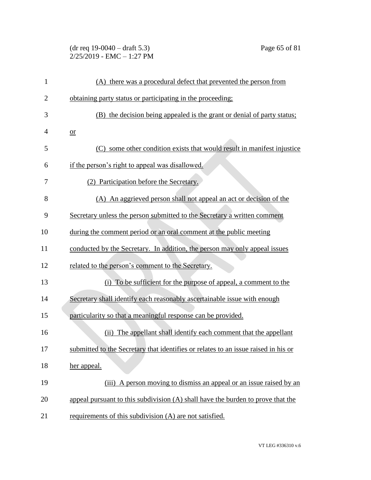| $(dr \text{ req } 19-0040 - draft 5.3)$ |  |
|-----------------------------------------|--|
| 2/25/2019 - EMC - 1:27 PM               |  |

| 1              | (A) there was a procedural defect that prevented the person from                   |
|----------------|------------------------------------------------------------------------------------|
| $\overline{2}$ | obtaining party status or participating in the proceeding;                         |
| 3              | (B) the decision being appealed is the grant or denial of party status;            |
| 4              | or                                                                                 |
| 5              | (C) some other condition exists that would result in manifest injustice            |
| 6              | if the person's right to appeal was disallowed.                                    |
| 7              | (2) Participation before the Secretary.                                            |
| 8              | (A) An aggrieved person shall not appeal an act or decision of the                 |
| 9              | Secretary unless the person submitted to the Secretary a written comment           |
| 10             | during the comment period or an oral comment at the public meeting                 |
| 11             | conducted by the Secretary. In addition, the person may only appeal issues         |
| 12             | related to the person's comment to the Secretary.                                  |
| 13             | (i) To be sufficient for the purpose of appeal, a comment to the                   |
| 14             | Secretary shall identify each reasonably ascertainable issue with enough           |
| 15             | particularity so that a meaningful response can be provided.                       |
| 16             | (ii) The appellant shall identify each comment that the appellant                  |
| 17             | submitted to the Secretary that identifies or relates to an issue raised in his or |
| 18             | her appeal.                                                                        |
| 19             | (iii) A person moving to dismiss an appeal or an issue raised by an                |
| 20             | appeal pursuant to this subdivision (A) shall have the burden to prove that the    |
| 21             | requirements of this subdivision (A) are not satisfied.                            |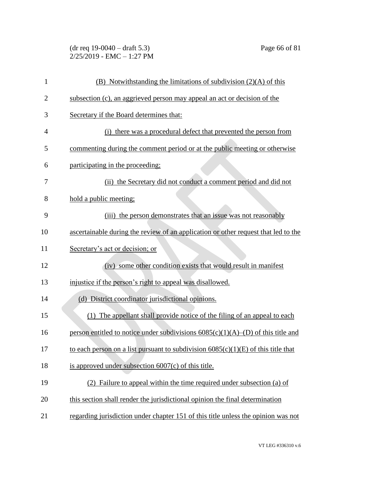| $(dr \text{ req } 19-0040 - draft 5.3)$ |  |
|-----------------------------------------|--|
| $2/25/2019$ - EMC $-1:27$ PM            |  |

| $\mathbf{1}$   | $(B)$ Notwithstanding the limitations of subdivision $(2)(A)$ of this               |
|----------------|-------------------------------------------------------------------------------------|
| $\overline{2}$ | subsection (c), an aggrieved person may appeal an act or decision of the            |
| 3              | Secretary if the Board determines that:                                             |
| 4              | (i) there was a procedural defect that prevented the person from                    |
| 5              | commenting during the comment period or at the public meeting or otherwise          |
| 6              | participating in the proceeding:                                                    |
| 7              | (ii) the Secretary did not conduct a comment period and did not                     |
| 8              | hold a public meeting;                                                              |
| 9              | (iii) the person demonstrates that an issue was not reasonably                      |
| 10             | ascertainable during the review of an application or other request that led to the  |
| 11             | Secretary's act or decision; or                                                     |
| 12             | (iv) some other condition exists that would result in manifest                      |
| 13             | injustice if the person's right to appeal was disallowed.                           |
| 14             | (d) District coordinator jurisdictional opinions.                                   |
| 15             | (1) The appellant shall provide notice of the filing of an appeal to each           |
| 16             | person entitled to notice under subdivisions $6085(c)(1)(A)$ –(D) of this title and |
| 17             | to each person on a list pursuant to subdivision $6085(c)(1)(E)$ of this title that |
| 18             | is approved under subsection $6007(c)$ of this title.                               |
| 19             | (2) Failure to appeal within the time required under subsection (a) of              |
| 20             | this section shall render the jurisdictional opinion the final determination        |
| 21             | regarding jurisdiction under chapter 151 of this title unless the opinion was not   |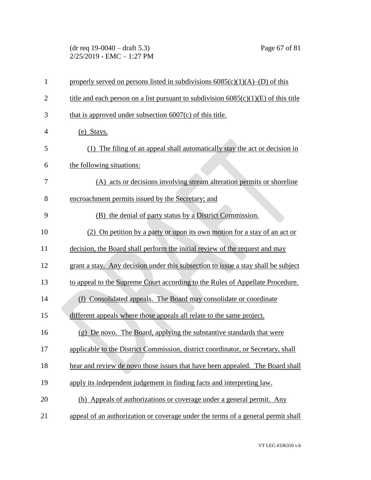(dr req 19-0040 – draft 5.3) Page 67 of 81  $2/25/2019$  - EMC - 1:27 PM

| $\mathbf{1}$   | properly served on persons listed in subdivisions $6085(c)(1)(A)$ –(D) of this        |
|----------------|---------------------------------------------------------------------------------------|
| $\overline{2}$ | title and each person on a list pursuant to subdivision $6085(c)(1)(E)$ of this title |
| 3              | that is approved under subsection $6007(c)$ of this title.                            |
| $\overline{4}$ | (e) Stays.                                                                            |
| 5              | (1) The filing of an appeal shall automatically stay the act or decision in           |
| 6              | the following situations:                                                             |
| 7              | (A) acts or decisions involving stream alteration permits or shoreline                |
| 8              | encroachment permits issued by the Secretary; and                                     |
| 9              | (B) the denial of party status by a District Commission.                              |
| 10             | (2) On petition by a party or upon its own motion for a stay of an act or             |
| 11             | decision, the Board shall perform the initial review of the request and may           |
| 12             | grant a stay. Any decision under this subsection to issue a stay shall be subject     |
| 13             | to appeal to the Supreme Court according to the Rules of Appellate Procedure.         |
| 14             | (f) Consolidated appeals. The Board may consolidate or coordinate                     |
| 15             | different appeals where those appeals all relate to the same project.                 |
| 16             | (g) De novo. The Board, applying the substantive standards that were                  |
| 17             | applicable to the District Commission, district coordinator, or Secretary, shall      |
| 18             | hear and review de novo those issues that have been appealed. The Board shall         |
| 19             | apply its independent judgement in finding facts and interpreting law.                |
| 20             | (h) Appeals of authorizations or coverage under a general permit. Any                 |
| 21             | appeal of an authorization or coverage under the terms of a general permit shall      |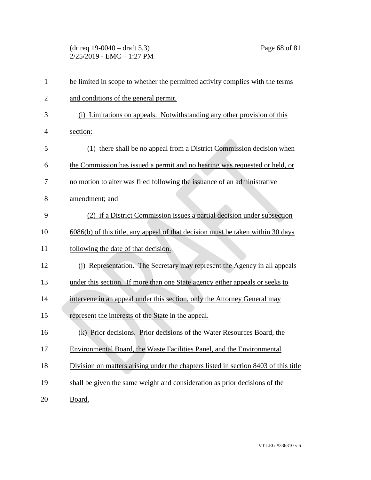(dr req 19-0040 – draft 5.3) Page 68 of 81  $2/25/2019$  - EMC - 1:27 PM

| $\mathbf{1}$   | be limited in scope to whether the permitted activity complies with the terms       |
|----------------|-------------------------------------------------------------------------------------|
| $\overline{2}$ | and conditions of the general permit.                                               |
| 3              | (i) Limitations on appeals. Notwithstanding any other provision of this             |
| 4              | section:                                                                            |
| 5              | (1) there shall be no appeal from a District Commission decision when               |
| 6              | the Commission has issued a permit and no hearing was requested or held, or         |
| 7              | no motion to alter was filed following the issuance of an administrative            |
| 8              | amendment; and                                                                      |
| 9              | (2) if a District Commission issues a partial decision under subsection             |
| 10             | 6086(b) of this title, any appeal of that decision must be taken within 30 days     |
| 11             | following the date of that decision.                                                |
| 12             | (j) Representation. The Secretary may represent the Agency in all appeals           |
| 13             | under this section. If more than one State agency either appeals or seeks to        |
| 14             | intervene in an appeal under this section, only the Attorney General may            |
| 15             | represent the interests of the State in the appeal.                                 |
| 16             | (k) Prior decisions. Prior decisions of the Water Resources Board, the              |
| 17             | Environmental Board, the Waste Facilities Panel, and the Environmental              |
| 18             | Division on matters arising under the chapters listed in section 8403 of this title |
| 19             | shall be given the same weight and consideration as prior decisions of the          |
| 20             | Board.                                                                              |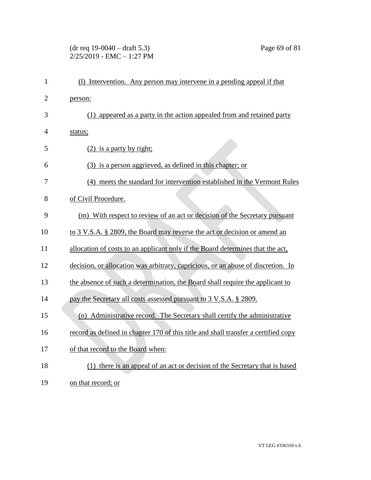#### (dr req 19-0040 – draft 5.3) Page 69 of 81 2/25/2019 - EMC – 1:27 PM

| $\mathbf{1}$   | (1) Intervention. Any person may intervene in a pending appeal if that             |
|----------------|------------------------------------------------------------------------------------|
| $\overline{2}$ | person:                                                                            |
| 3              | (1) appeared as a party in the action appealed from and retained party             |
| $\overline{4}$ | status;                                                                            |
| 5              | $(2)$ is a party by right;                                                         |
| 6              | (3) is a person aggrieved, as defined in this chapter; or                          |
| 7              | (4) meets the standard for intervention established in the Vermont Rules           |
| 8              | of Civil Procedure.                                                                |
| 9              | (m) With respect to review of an act or decision of the Secretary pursuant         |
| 10             | to 3 V.S.A. § 2809, the Board may reverse the act or decision or amend an          |
| 11             | allocation of costs to an applicant only if the Board determines that the act,     |
| 12             | decision, or allocation was arbitrary, capricious, or an abuse of discretion. In   |
| 13             | the absence of such a determination, the Board shall require the applicant to      |
| 14             | pay the Secretary all costs assessed pursuant to 3 V.S.A. § 2809.                  |
| 15             | (n) Administrative record. The Secretary shall certify the administrative          |
| 16             | record as defined in chapter 170 of this title and shall transfer a certified copy |
| 17             | of that record to the Board when:                                                  |
| 18             | (1) there is an appeal of an act or decision of the Secretary that is based        |
| 19             | on that record; or                                                                 |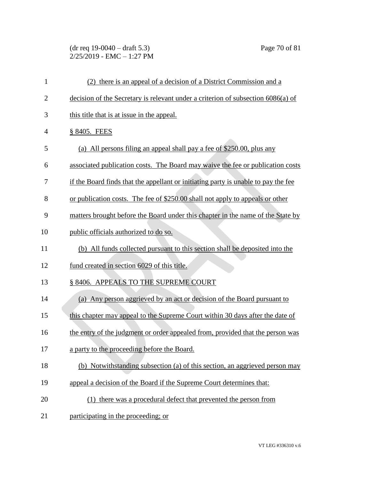#### (dr req 19-0040 – draft 5.3) Page 70 of 81 2/25/2019 - EMC – 1:27 PM

| $\mathbf{1}$   | (2) there is an appeal of a decision of a District Commission and a                |
|----------------|------------------------------------------------------------------------------------|
| $\overline{2}$ | decision of the Secretary is relevant under a criterion of subsection 6086(a) of   |
| 3              | this title that is at issue in the appeal.                                         |
| 4              | § 8405. FEES                                                                       |
| 5              | (a) All persons filing an appeal shall pay a fee of \$250.00, plus any             |
| 6              | associated publication costs. The Board may waive the fee or publication costs     |
| 7              | if the Board finds that the appellant or initiating party is unable to pay the fee |
| 8              | or publication costs. The fee of \$250.00 shall not apply to appeals or other      |
| 9              | matters brought before the Board under this chapter in the name of the State by    |
| 10             | public officials authorized to do so.                                              |
| 11             | (b) All funds collected pursuant to this section shall be deposited into the       |
| 12             | fund created in section 6029 of this title.                                        |
| 13             | § 8406. APPEALS TO THE SUPREME COURT                                               |
| 14             | (a) Any person aggrieved by an act or decision of the Board pursuant to            |
| 15             | this chapter may appeal to the Supreme Court within 30 days after the date of      |
| 16             | the entry of the judgment or order appealed from, provided that the person was     |
| 17             | a party to the proceeding before the Board.                                        |
| 18             | (b) Notwithstanding subsection (a) of this section, an aggrieved person may        |
| 19             | appeal a decision of the Board if the Supreme Court determines that:               |
| 20             | (1) there was a procedural defect that prevented the person from                   |
| 21             | participating in the proceeding; or                                                |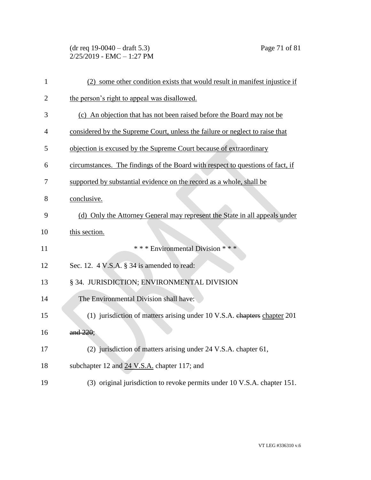(dr req 19-0040 – draft 5.3) Page 71 of 81  $2/25/2019$  - EMC - 1:27 PM

| $\mathbf{1}$   | (2) some other condition exists that would result in manifest injustice if     |
|----------------|--------------------------------------------------------------------------------|
| $\overline{2}$ | the person's right to appeal was disallowed.                                   |
| 3              | (c) An objection that has not been raised before the Board may not be          |
| 4              | considered by the Supreme Court, unless the failure or neglect to raise that   |
| 5              | objection is excused by the Supreme Court because of extraordinary             |
| 6              | circumstances. The findings of the Board with respect to questions of fact, if |
| 7              | supported by substantial evidence on the record as a whole, shall be           |
| 8              | conclusive.                                                                    |
| 9              | (d) Only the Attorney General may represent the State in all appeals under     |
| 10             | this section.                                                                  |
| 11             | *** Environmental Division ***                                                 |
| 12             | Sec. 12. 4 V.S.A. § 34 is amended to read:                                     |
| 13             | § 34. JURISDICTION; ENVIRONMENTAL DIVISION                                     |
| 14             | The Environmental Division shall have:                                         |
| 15             | (1) jurisdiction of matters arising under 10 V.S.A. chapters chapter 201       |
| 16             | and 220;                                                                       |
| 17             | (2) jurisdiction of matters arising under 24 V.S.A. chapter 61,                |
| 18             | subchapter 12 and 24 V.S.A. chapter 117; and                                   |
| 19             | (3) original jurisdiction to revoke permits under 10 V.S.A. chapter 151.       |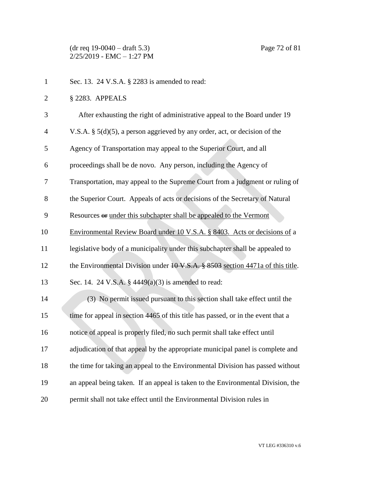(dr req 19-0040 – draft 5.3) Page 72 of 81 2/25/2019 - EMC – 1:27 PM

| $\mathbf{1}$   | Sec. 13. 24 V.S.A. § 2283 is amended to read:                                            |
|----------------|------------------------------------------------------------------------------------------|
| $\overline{2}$ | § 2283. APPEALS                                                                          |
| 3              | After exhausting the right of administrative appeal to the Board under 19                |
| $\overline{4}$ | V.S.A. $\S$ 5(d)(5), a person aggrieved by any order, act, or decision of the            |
| 5              | Agency of Transportation may appeal to the Superior Court, and all                       |
| 6              | proceedings shall be de novo. Any person, including the Agency of                        |
| 7              | Transportation, may appeal to the Supreme Court from a judgment or ruling of             |
| 8              | the Superior Court. Appeals of acts or decisions of the Secretary of Natural             |
| 9              | Resources or under this subchapter shall be appealed to the Vermont                      |
| 10             | Environmental Review Board under 10 V.S.A. § 8403. Acts or decisions of a                |
| 11             | legislative body of a municipality under this subchapter shall be appealed to            |
| 12             | the Environmental Division under $10 \text{ V.S.A.}$ \$8503 section 4471a of this title. |
| 13             | Sec. 14. 24 V.S.A. $\S$ 4449(a)(3) is amended to read:                                   |
| 14             | (3) No permit issued pursuant to this section shall take effect until the                |
| 15             | time for appeal in section 4465 of this title has passed, or in the event that a         |
| 16             | notice of appeal is properly filed, no such permit shall take effect until               |
| 17             | adjudication of that appeal by the appropriate municipal panel is complete and           |
| 18             | the time for taking an appeal to the Environmental Division has passed without           |
| 19             | an appeal being taken. If an appeal is taken to the Environmental Division, the          |
| 20             | permit shall not take effect until the Environmental Division rules in                   |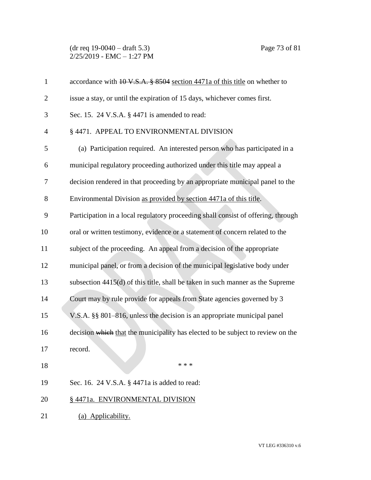## (dr req 19-0040 – draft 5.3) Page 73 of 81  $2/25/2019$  - EMC - 1:27 PM

| $\mathbf{1}$   | accordance with 10 V.S.A. § 8504 section 4471a of this title on whether to        |
|----------------|-----------------------------------------------------------------------------------|
| $\overline{2}$ | issue a stay, or until the expiration of 15 days, whichever comes first.          |
| 3              | Sec. 15. 24 V.S.A. § 4471 is amended to read:                                     |
| 4              | § 4471. APPEAL TO ENVIRONMENTAL DIVISION                                          |
| 5              | (a) Participation required. An interested person who has participated in a        |
| 6              | municipal regulatory proceeding authorized under this title may appeal a          |
| 7              | decision rendered in that proceeding by an appropriate municipal panel to the     |
| 8              | Environmental Division as provided by section 4471a of this title.                |
| 9              | Participation in a local regulatory proceeding shall consist of offering, through |
| 10             | oral or written testimony, evidence or a statement of concern related to the      |
| 11             | subject of the proceeding. An appeal from a decision of the appropriate           |
| 12             | municipal panel, or from a decision of the municipal legislative body under       |
| 13             | subsection 4415(d) of this title, shall be taken in such manner as the Supreme    |
| 14             | Court may by rule provide for appeals from State agencies governed by 3           |
| 15             | V.S.A. §§ 801–816, unless the decision is an appropriate municipal panel          |
| 16             | decision which that the municipality has elected to be subject to review on the   |
| 17             | record.                                                                           |
| 18             | * * *                                                                             |
| 19             | Sec. 16. 24 V.S.A. § 4471a is added to read:                                      |
| 20             | § 4471a. ENVIRONMENTAL DIVISION                                                   |
| 21             | (a) Applicability.                                                                |
|                |                                                                                   |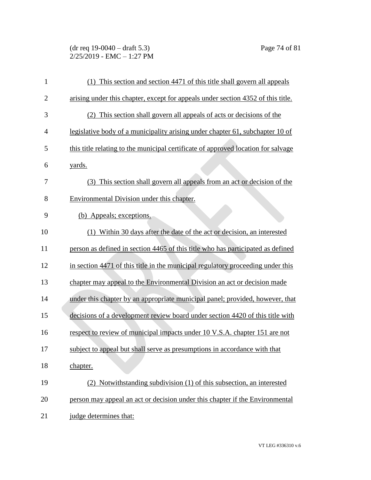## (dr req 19-0040 – draft 5.3) Page 74 of 81 2/25/2019 - EMC – 1:27 PM

| 1              | (1) This section and section 4471 of this title shall govern all appeals          |
|----------------|-----------------------------------------------------------------------------------|
| $\overline{2}$ | arising under this chapter, except for appeals under section 4352 of this title.  |
| 3              | (2) This section shall govern all appeals of acts or decisions of the             |
| $\overline{4}$ | legislative body of a municipality arising under chapter 61, subchapter 10 of     |
| 5              | this title relating to the municipal certificate of approved location for salvage |
| 6              | yards.                                                                            |
| 7              | (3) This section shall govern all appeals from an act or decision of the          |
| 8              | Environmental Division under this chapter.                                        |
| 9              | (b) Appeals; exceptions.                                                          |
| 10             | (1) Within 30 days after the date of the act or decision, an interested           |
| 11             | person as defined in section 4465 of this title who has participated as defined   |
| 12             | in section 4471 of this title in the municipal regulatory proceeding under this   |
| 13             | chapter may appeal to the Environmental Division an act or decision made          |
| 14             | under this chapter by an appropriate municipal panel; provided, however, that     |
| 15             | decisions of a development review board under section 4420 of this title with     |
| 16             | respect to review of municipal impacts under 10 V.S.A. chapter 151 are not        |
| 17             | subject to appeal but shall serve as presumptions in accordance with that         |
| 18             | chapter.                                                                          |
| 19             | (2) Notwithstanding subdivision (1) of this subsection, an interested             |
| 20             | person may appeal an act or decision under this chapter if the Environmental      |
| 21             | judge determines that:                                                            |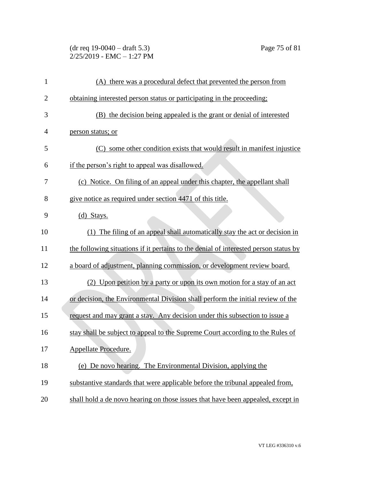(dr req 19-0040 – draft 5.3) Page 75 of 81  $2/25/2019$  - EMC - 1:27 PM

| $\mathbf{1}$   | (A) there was a procedural defect that prevented the person from                     |
|----------------|--------------------------------------------------------------------------------------|
| $\overline{c}$ | obtaining interested person status or participating in the proceeding;               |
| 3              | (B) the decision being appealed is the grant or denial of interested                 |
| 4              | person status; or                                                                    |
| 5              | some other condition exists that would result in manifest injustice<br>(C)           |
| 6              | if the person's right to appeal was disallowed.                                      |
| 7              | (c) Notice. On filing of an appeal under this chapter, the appellant shall           |
| 8              | give notice as required under section 4471 of this title.                            |
| 9              | $(d)$ Stays.                                                                         |
| 10             | (1) The filing of an appeal shall automatically stay the act or decision in          |
| 11             | the following situations if it pertains to the denial of interested person status by |
| 12             | a board of adjustment, planning commission, or development review board.             |
| 13             | (2) Upon petition by a party or upon its own motion for a stay of an act             |
| 14             | or decision, the Environmental Division shall perform the initial review of the      |
| 15             | request and may grant a stay. Any decision under this subsection to issue a          |
| 16             | stay shall be subject to appeal to the Supreme Court according to the Rules of       |
| 17             | Appellate Procedure.                                                                 |
| 18             | (e) De novo hearing. The Environmental Division, applying the                        |
| 19             | substantive standards that were applicable before the tribunal appealed from,        |
| 20             | shall hold a de novo hearing on those issues that have been appealed, except in      |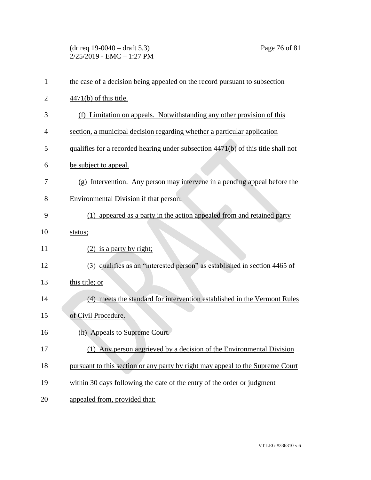(dr req 19-0040 – draft 5.3) Page 76 of 81 2/25/2019 - EMC – 1:27 PM

| $\mathbf{1}$   | the case of a decision being appealed on the record pursuant to subsection        |
|----------------|-----------------------------------------------------------------------------------|
| $\overline{2}$ | $\frac{4471(b)}{6}$ of this title.                                                |
| 3              | (f) Limitation on appeals. Notwithstanding any other provision of this            |
| 4              | section, a municipal decision regarding whether a particular application          |
| 5              | qualifies for a recorded hearing under subsection 4471(b) of this title shall not |
| 6              | be subject to appeal.                                                             |
| 7              | (g) Intervention. Any person may intervene in a pending appeal before the         |
| 8              | Environmental Division if that person:                                            |
| 9              | (1) appeared as a party in the action appealed from and retained party            |
| 10             | status;                                                                           |
| 11             | $(2)$ is a party by right;                                                        |
| 12             | (3) qualifies as an "interested person" as established in section 4465 of         |
| 13             | this title; or                                                                    |
| 14             | (4) meets the standard for intervention established in the Vermont Rules          |
| 15             | of Civil Procedure.                                                               |
| 16             | (h) Appeals to Supreme Court.                                                     |
| 17             | (1) Any person aggrieved by a decision of the Environmental Division              |
| 18             | pursuant to this section or any party by right may appeal to the Supreme Court    |
| 19             | within 30 days following the date of the entry of the order or judgment           |
| 20             | appealed from, provided that:                                                     |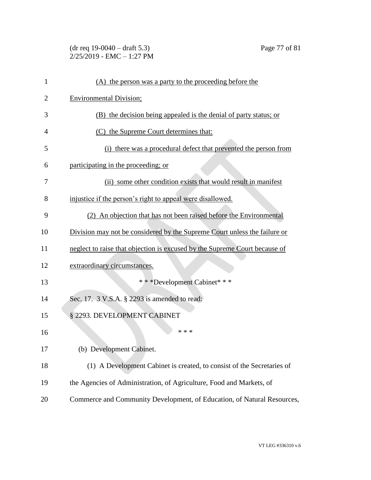## (dr req 19-0040 – draft 5.3) Page 77 of 81 2/25/2019 - EMC – 1:27 PM

| 1              | (A) the person was a party to the proceeding before the                    |
|----------------|----------------------------------------------------------------------------|
| $\overline{2}$ | <b>Environmental Division;</b>                                             |
| 3              | (B) the decision being appealed is the denial of party status; or          |
| 4              | (C) the Supreme Court determines that:                                     |
| 5              | (i) there was a procedural defect that prevented the person from           |
| 6              | participating in the proceeding; or                                        |
| 7              | (ii) some other condition exists that would result in manifest             |
| 8              | injustice if the person's right to appeal were disallowed.                 |
| 9              | (2) An objection that has not been raised before the Environmental         |
| 10             | Division may not be considered by the Supreme Court unless the failure or  |
| 11             | neglect to raise that objection is excused by the Supreme Court because of |
| 12             | extraordinary circumstances.                                               |
| 13             | * * * Development Cabinet * * *                                            |
| 14             | Sec. 17. 3 V.S.A. § 2293 is amended to read:                               |
| 15             | § 2293. DEVELOPMENT CABINET                                                |
| 16             | * * *                                                                      |
| 17             | (b) Development Cabinet.                                                   |
| 18             | (1) A Development Cabinet is created, to consist of the Secretaries of     |
| 19             | the Agencies of Administration, of Agriculture, Food and Markets, of       |
| 20             | Commerce and Community Development, of Education, of Natural Resources,    |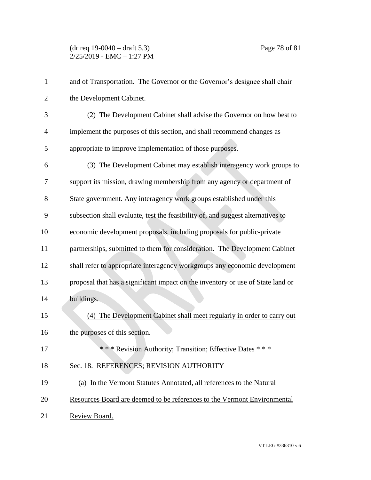## (dr req 19-0040 – draft 5.3) Page 78 of 81  $2/25/2019$  - EMC - 1:27 PM

| $\mathbf{1}$   | and of Transportation. The Governor or the Governor's designee shall chair      |
|----------------|---------------------------------------------------------------------------------|
| $\overline{2}$ | the Development Cabinet.                                                        |
| 3              | (2) The Development Cabinet shall advise the Governor on how best to            |
| $\overline{4}$ | implement the purposes of this section, and shall recommend changes as          |
| 5              | appropriate to improve implementation of those purposes.                        |
| 6              | (3) The Development Cabinet may establish interagency work groups to            |
| 7              | support its mission, drawing membership from any agency or department of        |
| 8              | State government. Any interagency work groups established under this            |
| 9              | subsection shall evaluate, test the feasibility of, and suggest alternatives to |
| 10             | economic development proposals, including proposals for public-private          |
| 11             | partnerships, submitted to them for consideration. The Development Cabinet      |
| 12             | shall refer to appropriate interagency workgroups any economic development      |
| 13             | proposal that has a significant impact on the inventory or use of State land or |
| 14             | buildings.                                                                      |
| 15             | (4) The Development Cabinet shall meet regularly in order to carry out          |
| 16             | the purposes of this section.                                                   |
| 17             | *** Revision Authority; Transition; Effective Dates ***                         |
| 18             | Sec. 18. REFERENCES; REVISION AUTHORITY                                         |
| 19             | (a) In the Vermont Statutes Annotated, all references to the Natural            |
| 20             | Resources Board are deemed to be references to the Vermont Environmental        |
| 21             | Review Board.                                                                   |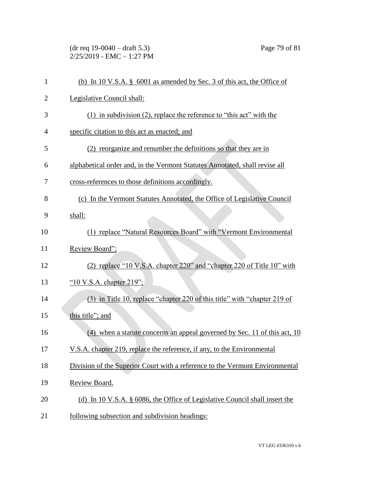(dr req 19-0040 – draft 5.3) Page 79 of 81 2/25/2019 - EMC – 1:27 PM

| $\mathbf{1}$   | (b) In 10 V.S.A. $\S$ 6001 as amended by Sec. 3 of this act, the Office of   |
|----------------|------------------------------------------------------------------------------|
| $\overline{2}$ | Legislative Council shall:                                                   |
| 3              | $(1)$ in subdivision $(2)$ , replace the reference to "this act" with the    |
| 4              | specific citation to this act as enacted; and                                |
| 5              | (2) reorganize and renumber the definitions so that they are in              |
| 6              | alphabetical order and, in the Vermont Statutes Annotated, shall revise all  |
| 7              | cross-references to those definitions accordingly.                           |
| 8              | (c) In the Vermont Statutes Annotated, the Office of Legislative Council     |
| 9              | shall:                                                                       |
| 10             | (1) replace "Natural Resources Board" with "Vermont Environmental            |
| 11             | Review Board";                                                               |
| 12             | (2) replace "10 V.S.A. chapter 220" and "chapter 220 of Title 10" with       |
| 13             | " $10$ V.S.A. chapter 219";                                                  |
| 14             | (3) in Title 10, replace "chapter 220 of this title" with "chapter 219 of    |
| 15             | this title"; and                                                             |
| 16             | (4) when a statute concerns an appeal governed by Sec. 11 of this act, 10    |
| 17             | V.S.A. chapter 219, replace the reference, if any, to the Environmental      |
| 18             | Division of the Superior Court with a reference to the Vermont Environmental |
| 19             | Review Board.                                                                |
| 20             | (d) In 10 V.S.A. § 6086, the Office of Legislative Council shall insert the  |
| 21             | following subsection and subdivision headings:                               |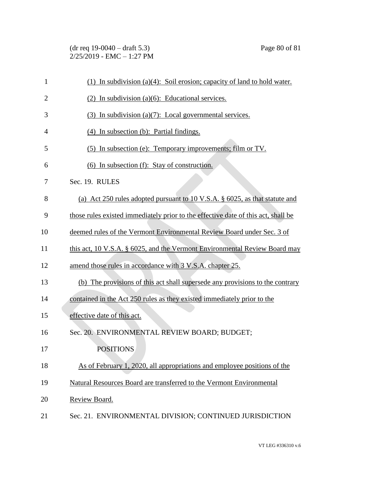(dr req 19-0040 – draft 5.3) Page 80 of 81  $2/25/2019$  - EMC - 1:27 PM

| $\mathbf{1}$   | (1) In subdivision (a)(4): Soil erosion; capacity of land to hold water.          |
|----------------|-----------------------------------------------------------------------------------|
| $\overline{2}$ | $(2)$ In subdivision (a)(6): Educational services.                                |
| 3              | (3) In subdivision (a)(7): Local governmental services.                           |
| $\overline{4}$ | (4) In subsection (b): Partial findings.                                          |
| 5              | (5) In subsection (e): Temporary improvements; film or TV.                        |
| 6              | (6) In subsection (f): Stay of construction.                                      |
| 7              | Sec. 19. RULES                                                                    |
| 8              | (a) Act 250 rules adopted pursuant to 10 V.S.A. § 6025, as that statute and       |
| 9              | those rules existed immediately prior to the effective date of this act, shall be |
| 10             | deemed rules of the Vermont Environmental Review Board under Sec. 3 of            |
| 11             | this act, 10 V.S.A. § 6025, and the Vermont Environmental Review Board may        |
| 12             | amend those rules in accordance with 3 V.S.A. chapter 25.                         |
| 13             | (b) The provisions of this act shall supersede any provisions to the contrary     |
| 14             | contained in the Act 250 rules as they existed immediately prior to the           |
| 15             | effective date of this act.                                                       |
| 16             | Sec. 20. ENVIRONMENTAL REVIEW BOARD; BUDGET;                                      |
| 17             | <b>POSITIONS</b>                                                                  |
| 18             | As of February 1, 2020, all appropriations and employee positions of the          |
| 19             | Natural Resources Board are transferred to the Vermont Environmental              |
| 20             | Review Board.                                                                     |
| 21             | Sec. 21. ENVIRONMENTAL DIVISION; CONTINUED JURISDICTION                           |